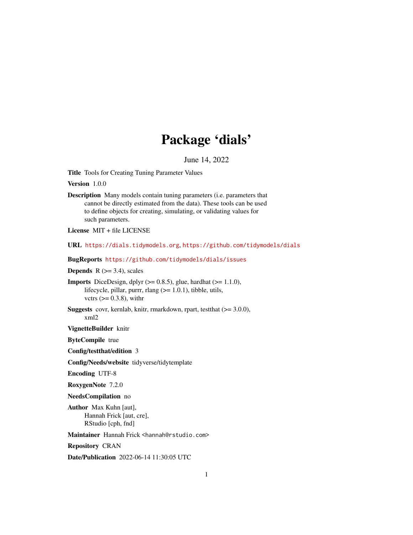# Package 'dials'

June 14, 2022

<span id="page-0-0"></span>Title Tools for Creating Tuning Parameter Values

Version 1.0.0

Description Many models contain tuning parameters (i.e. parameters that cannot be directly estimated from the data). These tools can be used to define objects for creating, simulating, or validating values for such parameters.

License MIT + file LICENSE

URL <https://dials.tidymodels.org>, <https://github.com/tidymodels/dials>

BugReports <https://github.com/tidymodels/dials/issues>

**Depends** R  $(>= 3.4)$ , scales

**Imports** DiceDesign, dplyr  $(>= 0.8.5)$ , glue, hardhat  $(>= 1.1.0)$ , lifecycle, pillar, purrr, rlang  $(>= 1.0.1)$ , tibble, utils, vctrs  $(>= 0.3.8)$ , with r

Suggests covr, kernlab, knitr, rmarkdown, rpart, testthat (>= 3.0.0), xml2

VignetteBuilder knitr

ByteCompile true

Config/testthat/edition 3

Config/Needs/website tidyverse/tidytemplate

Encoding UTF-8

RoxygenNote 7.2.0

NeedsCompilation no

Author Max Kuhn [aut], Hannah Frick [aut, cre], RStudio [cph, fnd]

Maintainer Hannah Frick <hannah@rstudio.com>

Repository CRAN

Date/Publication 2022-06-14 11:30:05 UTC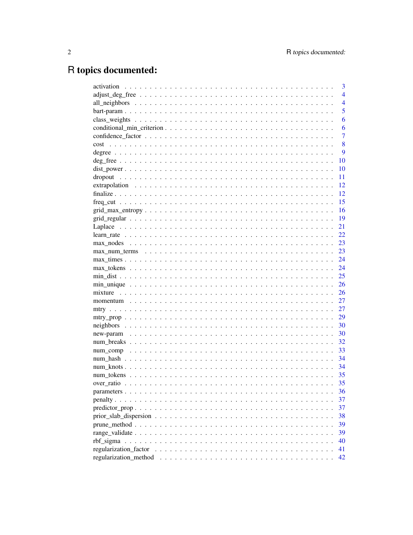# R topics documented:

|      | 3              |
|------|----------------|
|      | $\overline{4}$ |
|      | $\overline{4}$ |
|      | 5              |
|      | 6              |
|      | 6              |
|      | 7              |
| cost | 8              |
|      | 9              |
|      | 10             |
|      | 10             |
|      | 11             |
|      | 12             |
|      | 12             |
|      | 15             |
|      | 16             |
|      | 19             |
|      | 21             |
|      | 22             |
|      | 23             |
|      | 23             |
|      | 24             |
|      | 24             |
|      | 25             |
|      | 26             |
|      | 26             |
|      | 27             |
|      | 27             |
|      | 29             |
|      | 30             |
|      | 30             |
|      | 32             |
|      | 33             |
|      | 34             |
|      | 34             |
|      | 35             |
|      | 35             |
|      | 36             |
|      | 37             |
|      |                |
|      | 37             |
|      | 38             |
|      | 39             |
|      | 39             |
|      | 40             |
|      | 41             |
|      | 42             |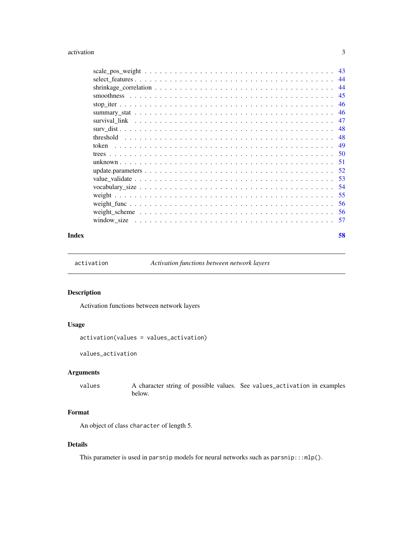#### <span id="page-2-0"></span>activation 3

|  | 45   |
|--|------|
|  | 46   |
|  | 46   |
|  | 47   |
|  | 48   |
|  | 48   |
|  | -49  |
|  |      |
|  |      |
|  |      |
|  |      |
|  | .54  |
|  | 55   |
|  | .56  |
|  | -56  |
|  | - 57 |
|  |      |

#### **Index [58](#page-57-0) Second Line Control of the Control of the Control of the Control of the Control of the Control of the Control of the Control of the Control of the Control of the Control of the Control of the Control of the Contr**

activation *Activation functions between network layers*

#### Description

Activation functions between network layers

## Usage

```
activation(values = values_activation)
```
values\_activation

#### Arguments

values A character string of possible values. See values\_activation in examples below.

## Format

An object of class character of length 5.

#### Details

This parameter is used in parsnip models for neural networks such as  $\text{param}$ :: $mlp()$ .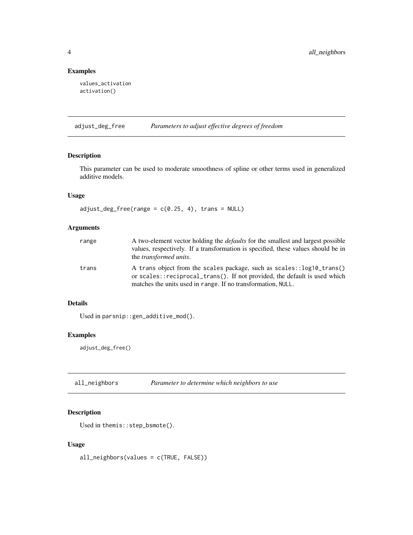#### Examples

```
values_activation
activation()
```
adjust\_deg\_free *Parameters to adjust effective degrees of freedom*

## Description

This parameter can be used to moderate smoothness of spline or other terms used in generalized additive models.

#### Usage

 $adjust\_deg\_free(range = c(0.25, 4), trans = NULL)$ 

#### Arguments

| range | A two-element vector holding the <i>defaults</i> for the smallest and largest possible<br>values, respectively. If a transformation is specified, these values should be in<br>the <i>transformed units</i> .      |
|-------|--------------------------------------------------------------------------------------------------------------------------------------------------------------------------------------------------------------------|
| trans | A trans object from the scales package, such as scales::log10_trans()<br>or scales::reciprocal_trans(). If not provided, the default is used which<br>matches the units used in range. If no transformation, NULL. |

#### Details

Used in parsnip::gen\_additive\_mod().

#### Examples

adjust\_deg\_free()

| all_neighbors | Parameter to determine which neighbors to use |  |
|---------------|-----------------------------------------------|--|
|---------------|-----------------------------------------------|--|

#### Description

Used in themis::step\_bsmote().

## Usage

all\_neighbors(values = c(TRUE, FALSE))

<span id="page-3-0"></span>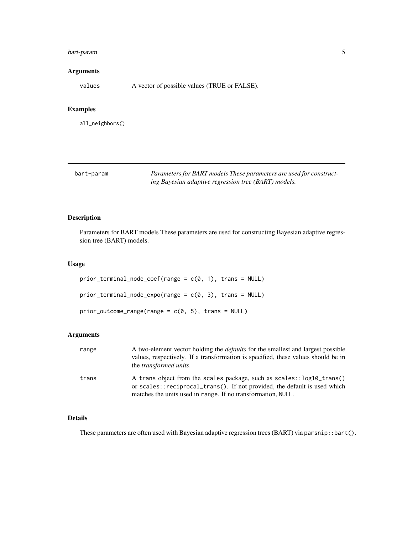#### <span id="page-4-0"></span>bart-param 5

#### Arguments

values A vector of possible values (TRUE or FALSE).

#### Examples

all\_neighbors()

bart-param *Parameters for BART models These parameters are used for constructing Bayesian adaptive regression tree (BART) models.*

## Description

Parameters for BART models These parameters are used for constructing Bayesian adaptive regression tree (BART) models.

#### Usage

```
prior_{\text{terminal\_node\_coeff}(\text{range} = c(\emptyset, 1), \text{trans} = NULL)prior_terminal_node_expo(range = c(0, 3), trans = NULL)
prior\_outcome\_range(range = c(0, 5), trans = NULL)
```
#### Arguments

| range | A two-element vector holding the <i>defaults</i> for the smallest and largest possible<br>values, respectively. If a transformation is specified, these values should be in<br>the <i>transformed units</i> .      |
|-------|--------------------------------------------------------------------------------------------------------------------------------------------------------------------------------------------------------------------|
| trans | A trans object from the scales package, such as scales::log10_trans()<br>or scales::reciprocal_trans(). If not provided, the default is used which<br>matches the units used in range. If no transformation, NULL. |

#### Details

These parameters are often used with Bayesian adaptive regression trees (BART) via parsnip::bart().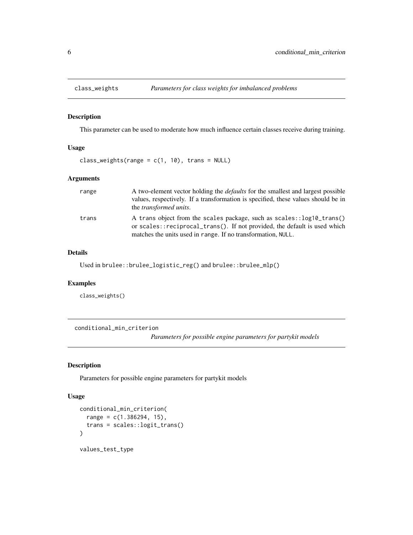<span id="page-5-0"></span>

This parameter can be used to moderate how much influence certain classes receive during training.

#### Usage

class\_weights(range =  $c(1, 10)$ , trans = NULL)

#### Arguments

| range | A two-element vector holding the <i>defaults</i> for the smallest and largest possible<br>values, respectively. If a transformation is specified, these values should be in<br>the <i>transformed units</i> .      |
|-------|--------------------------------------------------------------------------------------------------------------------------------------------------------------------------------------------------------------------|
| trans | A trans object from the scales package, such as scales::log10_trans()<br>or scales::reciprocal_trans(). If not provided, the default is used which<br>matches the units used in range. If no transformation, NULL. |

#### Details

Used in brulee::brulee\_logistic\_reg() and brulee::brulee\_mlp()

## Examples

class\_weights()

conditional\_min\_criterion

*Parameters for possible engine parameters for partykit models*

#### Description

Parameters for possible engine parameters for partykit models

#### Usage

```
conditional_min_criterion(
 range = c(1.386294, 15),
  trans = scales::logit_trans()
)
values_test_type
```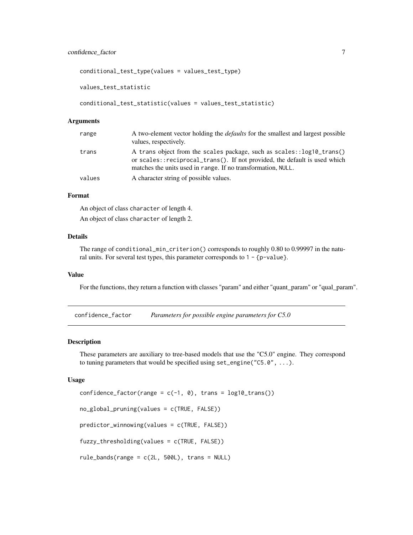#### <span id="page-6-0"></span>confidence\_factor 7

conditional\_test\_type(values = values\_test\_type)

values\_test\_statistic

```
conditional_test_statistic(values = values_test_statistic)
```
#### Arguments

| range  | A two-element vector holding the <i>defaults</i> for the smallest and largest possible<br>values, respectively.                                                                                                      |
|--------|----------------------------------------------------------------------------------------------------------------------------------------------------------------------------------------------------------------------|
| trans  | A trans object from the scales package, such as scales: : log10_trans()<br>or scales::reciprocal_trans(). If not provided, the default is used which<br>matches the units used in range. If no transformation, NULL. |
| values | A character string of possible values.                                                                                                                                                                               |

#### Format

An object of class character of length 4. An object of class character of length 2.

#### Details

The range of conditional\_min\_criterion() corresponds to roughly 0.80 to 0.99997 in the natural units. For several test types, this parameter corresponds to  $1 - \{p-value\}$ .

#### Value

For the functions, they return a function with classes "param" and either "quant\_param" or "qual\_param".

confidence\_factor *Parameters for possible engine parameters for C5.0*

#### Description

These parameters are auxiliary to tree-based models that use the "C5.0" engine. They correspond to tuning parameters that would be specified using set\_engine("C5.0", ...).

#### Usage

```
confidence_factor(range = c(-1, 0), trans = log10_ttrans())
no_global_pruning(values = c(TRUE, FALSE))
predictor_winnowing(values = c(TRUE, FALSE))
fuzzy_thresholding(values = c(TRUE, FALSE))
rule_bands(range = c(2L, 500L), trans = NULL)
```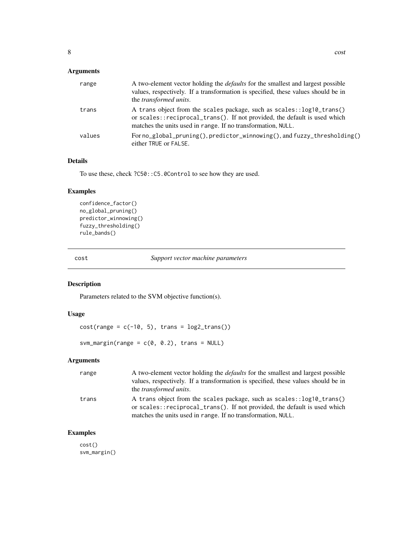<span id="page-7-0"></span>

| range  | A two-element vector holding the <i>defaults</i> for the smallest and largest possible<br>values, respectively. If a transformation is specified, these values should be in<br>the <i>transformed units</i> .      |
|--------|--------------------------------------------------------------------------------------------------------------------------------------------------------------------------------------------------------------------|
| trans  | A trans object from the scales package, such as scales::log10_trans()<br>or scales::reciprocal_trans(). If not provided, the default is used which<br>matches the units used in range. If no transformation, NULL. |
| values | For no_global_pruning(), predictor_winnowing(), and fuzzy_thresholding()<br>either TRUE or FALSE.                                                                                                                  |

## Details

To use these, check ?C50::C5.0Control to see how they are used.

#### Examples

```
confidence_factor()
no_global_pruning()
predictor_winnowing()
fuzzy_thresholding()
rule_bands()
```
cost *Support vector machine parameters*

#### Description

Parameters related to the SVM objective function(s).

#### Usage

 $cost(range = c(-10, 5), trans = log2_transform())$ 

svm\_margin(range =  $c(0, 0.2)$ , trans = NULL)

## Arguments

| range | A two-element vector holding the <i>defaults</i> for the smallest and largest possible<br>values, respectively. If a transformation is specified, these values should be in<br>the <i>transformed units</i> .      |
|-------|--------------------------------------------------------------------------------------------------------------------------------------------------------------------------------------------------------------------|
| trans | A trans object from the scales package, such as scales::log10_trans()<br>or scales::reciprocal_trans(). If not provided, the default is used which<br>matches the units used in range. If no transformation, NULL. |

#### Examples

cost() svm\_margin()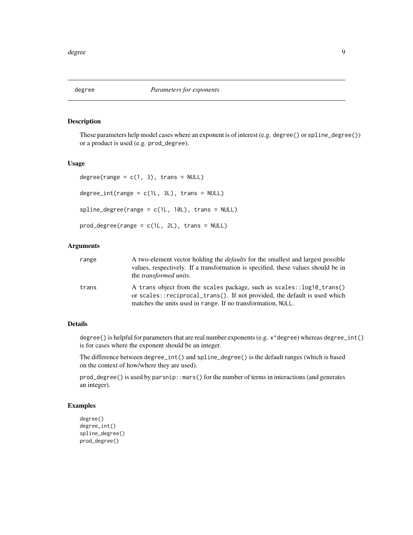<span id="page-8-0"></span>

These parameters help model cases where an exponent is of interest (e.g. degree() or spline\_degree()) or a product is used (e.g. prod\_degree).

#### Usage

```
degree(range = c(1, 3), trans = NULL)
degree\_int(range = c(1L, 3L), trans = NULL)splitegree(range = c(1L, 10L), trans = NULL)
prod_degree(range = c(1L, 2L), trans = NULL)
```
#### Arguments

| range | A two-element vector holding the <i>defaults</i> for the smallest and largest possible<br>values, respectively. If a transformation is specified, these values should be in<br>the <i>transformed units</i> .      |
|-------|--------------------------------------------------------------------------------------------------------------------------------------------------------------------------------------------------------------------|
| trans | A trans object from the scales package, such as scales::log10_trans()<br>or scales::reciprocal_trans(). If not provided, the default is used which<br>matches the units used in range. If no transformation, NULL. |

#### Details

degree() is helpful for parameters that are real number exponents (e.g.  $x^{\land}$  degree) whereas degree\_int() is for cases where the exponent should be an integer.

The difference between degree\_int() and spline\_degree() is the default ranges (which is based on the context of how/where they are used).

prod\_degree() is used by parsnip::mars() for the number of terms in interactions (and generates an integer).

#### Examples

```
degree()
degree_int()
spline_degree()
prod_degree()
```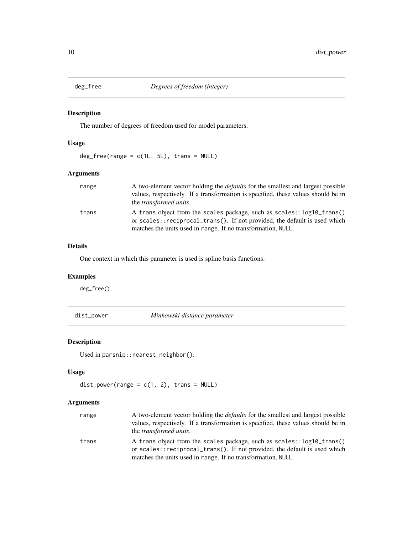<span id="page-9-0"></span>

The number of degrees of freedom used for model parameters.

#### Usage

 $deg_free(range = c(1L, 5L), trans = NULL)$ 

#### Arguments

| range | A two-element vector holding the <i>defaults</i> for the smallest and largest possible<br>values, respectively. If a transformation is specified, these values should be in<br>the <i>transformed units</i> .      |
|-------|--------------------------------------------------------------------------------------------------------------------------------------------------------------------------------------------------------------------|
| trans | A trans object from the scales package, such as scales::log10_trans()<br>or scales::reciprocal_trans(). If not provided, the default is used which<br>matches the units used in range. If no transformation, NULL. |

#### Details

One context in which this parameter is used is spline basis functions.

#### Examples

deg\_free()

dist\_power *Minkowski distance parameter*

#### Description

Used in parsnip::nearest\_neighbor().

#### Usage

```
dist\_power(range = c(1, 2), trans = NULL)
```
## Arguments

| range | A two-element vector holding the <i>defaults</i> for the smallest and largest possible<br>values, respectively. If a transformation is specified, these values should be in<br>the <i>transformed units</i> .      |
|-------|--------------------------------------------------------------------------------------------------------------------------------------------------------------------------------------------------------------------|
| trans | A trans object from the scales package, such as scales::log10_trans()<br>or scales::reciprocal_trans(). If not provided, the default is used which<br>matches the units used in range. If no transformation, NULL. |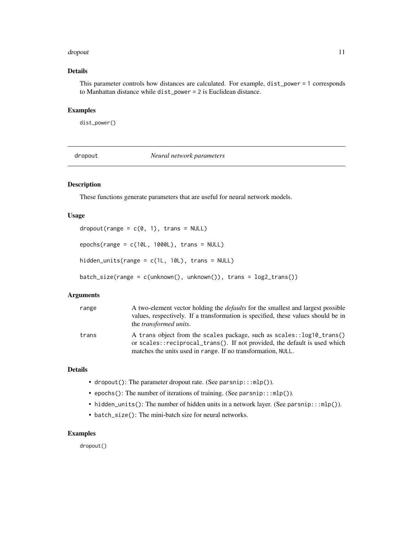#### <span id="page-10-0"></span>dropout that the contract of the contract of the contract of the contract of the contract of the contract of the contract of the contract of the contract of the contract of the contract of the contract of the contract of t

## Details

This parameter controls how distances are calculated. For example, dist\_power = 1 corresponds to Manhattan distance while dist\_power = 2 is Euclidean distance.

#### Examples

dist\_power()

dropout *Neural network parameters*

#### Description

These functions generate parameters that are useful for neural network models.

#### Usage

dropout(range =  $c(0, 1)$ , trans = NULL)

epochs(range =  $c(10L, 1000L)$ , trans = NULL)

hidden\_units(range = c(1L, 10L), trans = NULL)

batch\_size(range = c(unknown(), unknown()), trans = log2\_trans())

#### Arguments

| range | A two-element vector holding the <i>defaults</i> for the smallest and largest possible<br>values, respectively. If a transformation is specified, these values should be in<br>the <i>transformed units</i> .      |
|-------|--------------------------------------------------------------------------------------------------------------------------------------------------------------------------------------------------------------------|
| trans | A trans object from the scales package, such as scales::log10_trans()<br>or scales::reciprocal_trans(). If not provided, the default is used which<br>matches the units used in range. If no transformation, NULL. |

#### Details

- dropout(): The parameter dropout rate. (See parsnip:::mlp()).
- epochs(): The number of iterations of training. (See parsnip:::mlp()).
- hidden\_units(): The number of hidden units in a network layer. (See parsnip:::mlp()).
- batch\_size(): The mini-batch size for neural networks.

#### Examples

dropout()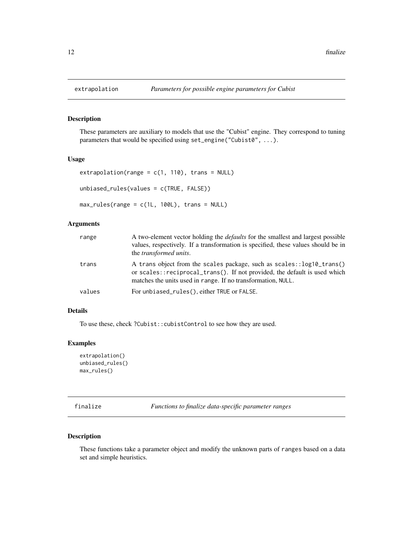These parameters are auxiliary to models that use the "Cubist" engine. They correspond to tuning parameters that would be specified using set\_engine("Cubist0", ...).

#### Usage

```
extrapolation(range = c(1, 110), trans = NULL)
unbiased_rules(values = c(TRUE, FALSE))
max_rules(range = c(1L, 100L), trans = NULL)
```
#### Arguments

| range  | A two-element vector holding the <i>defaults</i> for the smallest and largest possible<br>values, respectively. If a transformation is specified, these values should be in<br>the <i>transformed units</i> .      |
|--------|--------------------------------------------------------------------------------------------------------------------------------------------------------------------------------------------------------------------|
| trans  | A trans object from the scales package, such as scales::log10_trans()<br>or scales::reciprocal_trans(). If not provided, the default is used which<br>matches the units used in range. If no transformation, NULL. |
| values | For unbiased_rules(), either TRUE or FALSE.                                                                                                                                                                        |

#### Details

To use these, check ?Cubist::cubistControl to see how they are used.

#### Examples

```
extrapolation()
unbiased_rules()
max_rules()
```
finalize *Functions to finalize data-specific parameter ranges*

#### Description

These functions take a parameter object and modify the unknown parts of ranges based on a data set and simple heuristics.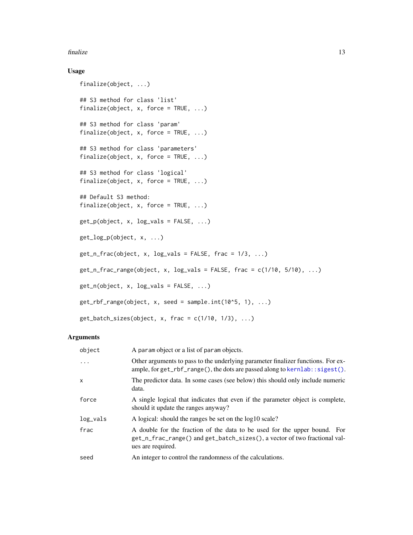#### <span id="page-12-0"></span>finalize the contract of the contract of the contract of the contract of the contract of the contract of the contract of the contract of the contract of the contract of the contract of the contract of the contract of the c

## Usage

```
finalize(object, ...)
## S3 method for class 'list'
finalize(object, x, force = TRUE, \ldots)
## S3 method for class 'param'
finalize(object, x, force = TRUE, \ldots)
## S3 method for class 'parameters'
finalize(object, x, force = TRUE, \ldots)
## S3 method for class 'logical'
finalize(object, x, force = TRUE, \ldots)
## Default S3 method:
finalize(object, x, force = TRUE, \ldots)
get_p(object, x, log_values = FALSE, ...)get_log_p(object, x, ...)
get_nfrac(object, x, log_values = FALSE, frac = 1/3, ...)get_nfrac_range(object, x, log_values = FALSE, frac = c(1/10, 5/10), ...)get_n(object, x, log_vals = FALSE, ...)
get_rbf_range(object, x, seed = sample.int(10<sup>6</sup>5, 1), ...)get_batch\_sizes(object, x, frac = c(1/10, 1/3), ...)
```
#### Arguments

| object   | A param object or a list of param objects.                                                                                                                                  |
|----------|-----------------------------------------------------------------------------------------------------------------------------------------------------------------------------|
| $\ddots$ | Other arguments to pass to the underlying parameter finalizer functions. For ex-<br>ample, for $get_rbf_range()$ , the dots are passed along to $kernlab::sigest()$ .       |
| x        | The predictor data. In some cases (see below) this should only include numeric<br>data.                                                                                     |
| force    | A single logical that indicates that even if the parameter object is complete,<br>should it update the ranges anyway?                                                       |
| log_vals | A logical: should the ranges be set on the log10 scale?                                                                                                                     |
| frac     | A double for the fraction of the data to be used for the upper bound. For<br>get_n_frac_range() and get_batch_sizes(), a vector of two fractional val-<br>ues are required. |
| seed     | An integer to control the randomness of the calculations.                                                                                                                   |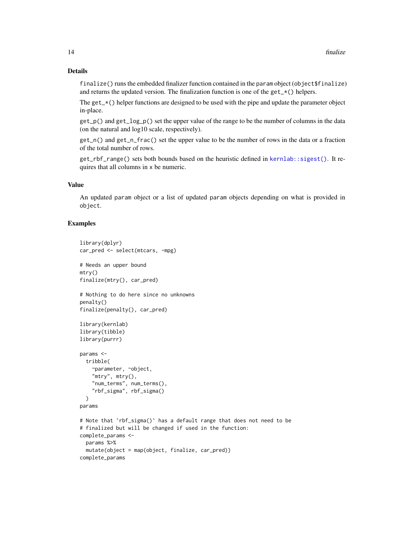#### Details

finalize() runs the embedded finalizer function contained in the param object (object\$finalize) and returns the updated version. The finalization function is one of the  $get_{\mathbf{r}}(\cdot)$  helpers.

The get  $\pm$   $\times$  () helper functions are designed to be used with the pipe and update the parameter object in-place.

get\_p() and get\_log\_p() set the upper value of the range to be the number of columns in the data (on the natural and log10 scale, respectively).

get\_n() and get\_n\_frac() set the upper value to be the number of rows in the data or a fraction of the total number of rows.

get\_rbf\_range() sets both bounds based on the heuristic defined in [kernlab::sigest\(\)](#page-0-0). It requires that all columns in x be numeric.

#### Value

An updated param object or a list of updated param objects depending on what is provided in object.

#### Examples

```
library(dplyr)
car_pred <- select(mtcars, -mpg)
# Needs an upper bound
mtry()
finalize(mtry(), car_pred)
# Nothing to do here since no unknowns
penalty()
finalize(penalty(), car_pred)
library(kernlab)
library(tibble)
library(purrr)
params <-
  tribble(
   ~parameter, ~object,
    "mtry", mtry(),
    "num_terms", num_terms(),
    "rbf_sigma", rbf_sigma()
  \lambdaparams
# Note that `rbf_sigma()` has a default range that does not need to be
# finalized but will be changed if used in the function:
complete_params <-
  params %>%
  mutate(object = map(object, finalize, car_pred))
complete_params
```
<span id="page-13-0"></span>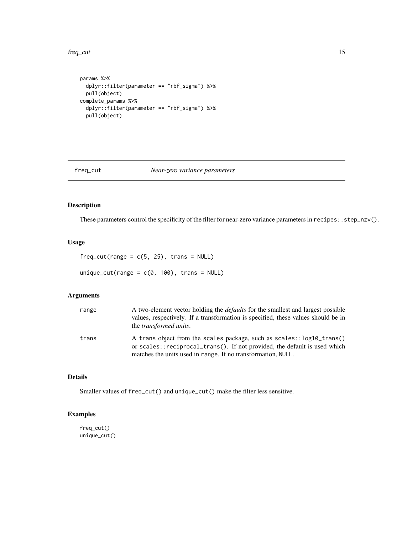#### <span id="page-14-0"></span>freq\_cut 15

```
params %>%
  dplyr::filter(parameter == "rbf_sigma") %>%
  pull(object)
complete_params %>%
  dplyr::filter(parameter == "rbf_sigma") %>%
  pull(object)
```
#### freq\_cut *Near-zero variance parameters*

#### Description

These parameters control the specificity of the filter for near-zero variance parameters in recipes::step\_nzv().

#### Usage

 $freq-cut(range = c(5, 25), trans = NULL)$ 

unique\_cut(range =  $c(\theta, 100)$ , trans = NULL)

#### Arguments

| range | A two-element vector holding the <i>defaults</i> for the smallest and largest possible<br>values, respectively. If a transformation is specified, these values should be in<br>the <i>transformed units</i> .      |
|-------|--------------------------------------------------------------------------------------------------------------------------------------------------------------------------------------------------------------------|
| trans | A trans object from the scales package, such as scales::log10_trans()<br>or scales::reciprocal_trans(). If not provided, the default is used which<br>matches the units used in range. If no transformation, NULL. |

## Details

Smaller values of freq\_cut() and unique\_cut() make the filter less sensitive.

#### Examples

freq\_cut() unique\_cut()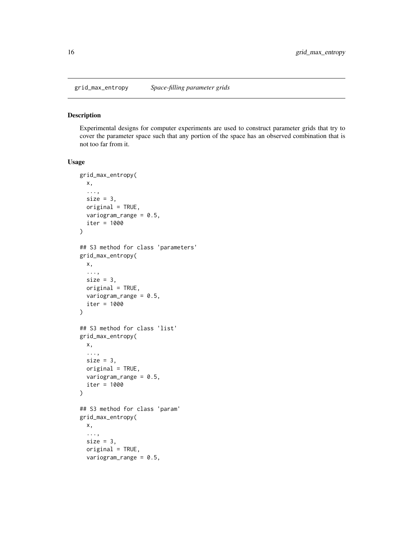<span id="page-15-0"></span>

Experimental designs for computer experiments are used to construct parameter grids that try to cover the parameter space such that any portion of the space has an observed combination that is not too far from it.

#### Usage

```
grid_max_entropy(
 x,
  ...,
  size = 3,
  original = TRUE,
  variogram_range = 0.5,
  iter = 1000
\lambda## S3 method for class 'parameters'
grid_max_entropy(
 x,
  ...,
  size = 3,
 original = TRUE,
  variogram_range = 0.5,
  iter = 1000
)
## S3 method for class 'list'
grid_max_entropy(
 x,
  ...,
 size = 3,
 original = TRUE,variogram_range = 0.5,
  iter = 1000
)
## S3 method for class 'param'
grid_max_entropy(
 x,
  ...,
  size = 3,original = TRUE,
  variogram_range = 0.5,
```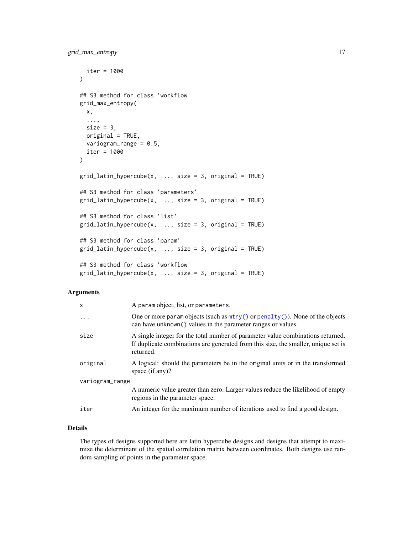```
iter = 1000
\lambda## S3 method for class 'workflow'
grid_max_entropy(
 x,
  ...,
  size = 3,
 original = TRUE,
 variogram_range = 0.5,
  iter = 1000
)
grid\_latin\_hypercube(x, ..., size = 3, original = TRUE)## S3 method for class 'parameters'
grid\_latin\_hypercube(x, ..., size = 3, original = TRUE)## S3 method for class 'list'
grid\_latin\_hypercube(x, ..., size = 3, original = TRUE)## S3 method for class 'param'
grid\_latin\_hypercube(x, ..., size = 3, original = TRUE)## S3 method for class 'workflow'
grid\_latin\_hypercube(x, ..., size = 3, original = TRUE)
```

| x               | A param object, list, or parameters.                                                                                                                                               |  |  |
|-----------------|------------------------------------------------------------------------------------------------------------------------------------------------------------------------------------|--|--|
| $\ddots$        | One or more param objects (such as $mtry()$ or penalty()). None of the objects<br>can have unknown () values in the parameter ranges or values.                                    |  |  |
| size            | A single integer for the total number of parameter value combinations returned.<br>If duplicate combinations are generated from this size, the smaller, unique set is<br>returned. |  |  |
| original        | A logical: should the parameters be in the original units or in the transformed<br>space $(if any)$ ?                                                                              |  |  |
| variogram_range |                                                                                                                                                                                    |  |  |
|                 | A numeric value greater than zero. Larger values reduce the likelihood of empty<br>regions in the parameter space.                                                                 |  |  |
| iter            | An integer for the maximum number of iterations used to find a good design.                                                                                                        |  |  |

#### Details

The types of designs supported here are latin hypercube designs and designs that attempt to maximize the determinant of the spatial correlation matrix between coordinates. Both designs use random sampling of points in the parameter space.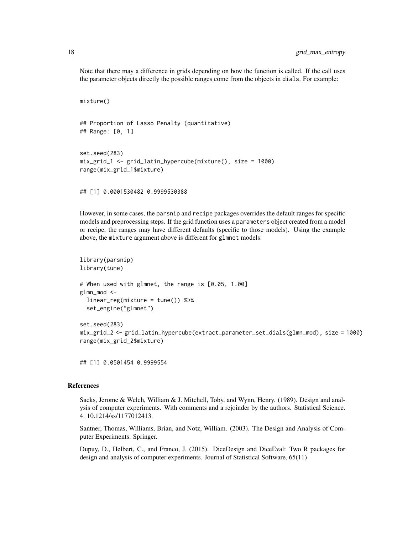Note that there may a difference in grids depending on how the function is called. If the call uses the parameter objects directly the possible ranges come from the objects in dials. For example:

```
mixture()
## Proportion of Lasso Penalty (quantitative)
## Range: [0, 1]
set.seed(283)
mix_grid_1 <- grid_latin_hypercube(mixture(), size = 1000)
range(mix_grid_1$mixture)
```
above, the mixture argument above is different for glmnet models:

However, in some cases, the parsnip and recipe packages overrides the default ranges for specific models and preprocessing steps. If the grid function uses a parameters object created from a model or recipe, the ranges may have different defaults (specific to those models). Using the example

```
library(parsnip)
library(tune)
# When used with glmnet, the range is [0.05, 1.00]
glmn_mod <-
  linear_reg(mixture = tune()) %>%
  set_engine("glmnet")
set.seed(283)
mix_grid_2 <- grid_latin_hypercube(extract_parameter_set_dials(glmn_mod), size = 1000)
range(mix_grid_2$mixture)
```
## [1] 0.0501454 0.9999554

## [1] 0.0001530482 0.9999530388

#### References

Sacks, Jerome & Welch, William & J. Mitchell, Toby, and Wynn, Henry. (1989). Design and analysis of computer experiments. With comments and a rejoinder by the authors. Statistical Science. 4. 10.1214/ss/1177012413.

Santner, Thomas, Williams, Brian, and Notz, William. (2003). The Design and Analysis of Computer Experiments. Springer.

Dupuy, D., Helbert, C., and Franco, J. (2015). DiceDesign and DiceEval: Two R packages for design and analysis of computer experiments. Journal of Statistical Software, 65(11)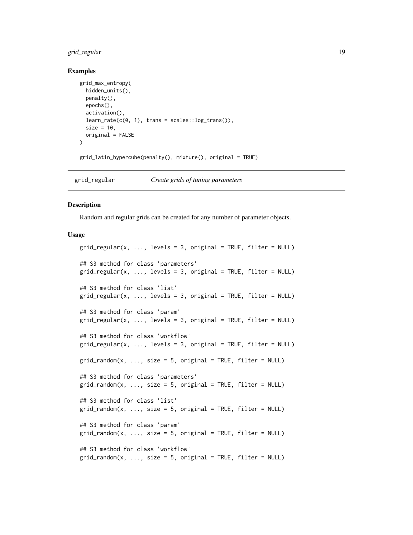#### <span id="page-18-0"></span>grid\_regular 19

#### Examples

```
grid_max_entropy(
 hidden_units(),
  penalty(),
  epochs(),
  activation(),
  learn_rate(c(0, 1), trans = scales::log_transform(),size = 10,
  original = FALSE
)
grid_latin_hypercube(penalty(), mixture(), original = TRUE)
```
grid\_regular *Create grids of tuning parameters*

#### Description

Random and regular grids can be created for any number of parameter objects.

#### Usage

```
grid\_regular(x, ..., levels = 3, original = TRUE, filter = NULL)## S3 method for class 'parameters'
grid\_regular(x, ..., levels = 3, original = TRUE, filter = NULL)## S3 method for class 'list'
grid\_regular(x, ..., levels = 3, original = TRUE, filter = NULL)## S3 method for class 'param'
grid\_regular(x, ..., levels = 3, original = TRUE, filter = NULL)## S3 method for class 'workflow'
grid\_regular(x, ..., levels = 3, original = TRUE, filter = NULL)grid\_random(x, ..., size = 5, original = TRUE, filter = NULL)## S3 method for class 'parameters'
grid\_random(x, ..., size = 5, original = TRUE, filter = NULL)## S3 method for class 'list'
grid\_random(x, ..., size = 5, original = TRUE, filter = NULL)## S3 method for class 'param'
grid\_random(x, ..., size = 5, original = TRUE, filter = NULL)## S3 method for class 'workflow'
grid\_random(x, ..., size = 5, original = TRUE, filter = NULL)
```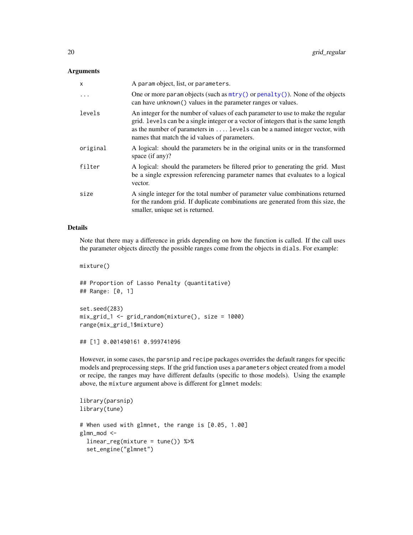<span id="page-19-0"></span>

| x        | A param object, list, or parameters.                                                                                                                                                                                                                                                                    |
|----------|---------------------------------------------------------------------------------------------------------------------------------------------------------------------------------------------------------------------------------------------------------------------------------------------------------|
| $\ddots$ | One or more param objects (such as $mtry()$ or penalty()). None of the objects<br>can have unknown () values in the parameter ranges or values.                                                                                                                                                         |
| levels   | An integer for the number of values of each parameter to use to make the regular<br>grid. Levels can be a single integer or a vector of integers that is the same length<br>as the number of parameters in  levels can be a named integer vector, with<br>names that match the id values of parameters. |
| original | A logical: should the parameters be in the original units or in the transformed<br>space $(if any)$ ?                                                                                                                                                                                                   |
| filter   | A logical: should the parameters be filtered prior to generating the grid. Must<br>be a single expression referencing parameter names that evaluates to a logical<br>vector.                                                                                                                            |
| size     | A single integer for the total number of parameter value combinations returned<br>for the random grid. If duplicate combinations are generated from this size, the<br>smaller, unique set is returned.                                                                                                  |

#### Details

Note that there may a difference in grids depending on how the function is called. If the call uses the parameter objects directly the possible ranges come from the objects in dials. For example:

mixture()

## Proportion of Lasso Penalty (quantitative) ## Range: [0, 1]

```
set.seed(283)
mix_grid_1 <- grid_random(mixture(), size = 1000)
range(mix_grid_1$mixture)
```

```
## [1] 0.001490161 0.999741096
```
However, in some cases, the parsnip and recipe packages overrides the default ranges for specific models and preprocessing steps. If the grid function uses a parameters object created from a model or recipe, the ranges may have different defaults (specific to those models). Using the example above, the mixture argument above is different for glmnet models:

```
library(parsnip)
library(tune)
# When used with glmnet, the range is [0.05, 1.00]
glmn_mod <-
 linear_reg(mixture = tune()) %>%
  set_engine("glmnet")
```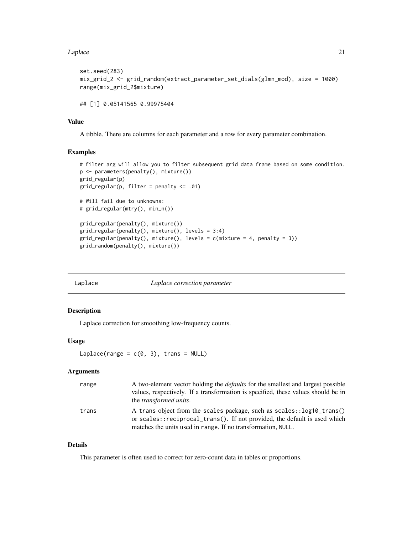#### <span id="page-20-0"></span>Laplace 21 22

```
set.seed(283)
mix_grid_2 <- grid_random(extract_parameter_set_dials(glmn_mod), size = 1000)
range(mix_grid_2$mixture)
## [1] 0.05141565 0.99975404
```
#### Value

A tibble. There are columns for each parameter and a row for every parameter combination.

#### Examples

```
# filter arg will allow you to filter subsequent grid data frame based on some condition.
p <- parameters(penalty(), mixture())
grid_regular(p)
grid\_regular(p, filter = penalty \le .01)# Will fail due to unknowns:
# grid_regular(mtry(), min_n())
grid_regular(penalty(), mixture())
grid_regular(penalty(), mixture(), levels = 3:4)
grid_regular(penalty(), mixture(), levels = c(mixture = 4, penalty = 3))
grid_random(penalty(), mixture())
```

| Laplace<br>Laplace correction parameter |
|-----------------------------------------|
|-----------------------------------------|

#### Description

Laplace correction for smoothing low-frequency counts.

### Usage

```
Laplace(range = c(0, 3), trans = NULL)
```
#### Arguments

| range | A two-element vector holding the <i>defaults</i> for the smallest and largest possible<br>values, respectively. If a transformation is specified, these values should be in<br>the <i>transformed units</i> .      |
|-------|--------------------------------------------------------------------------------------------------------------------------------------------------------------------------------------------------------------------|
| trans | A trans object from the scales package, such as scales::log10_trans()<br>or scales::reciprocal_trans(). If not provided, the default is used which<br>matches the units used in range. If no transformation, NULL. |

## Details

This parameter is often used to correct for zero-count data in tables or proportions.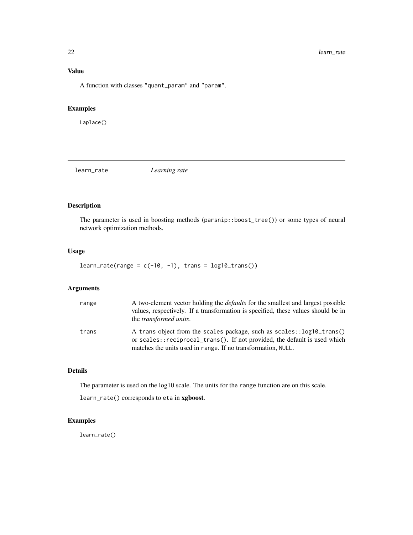#### <span id="page-21-0"></span>Value

A function with classes "quant\_param" and "param".

## Examples

Laplace()

learn\_rate *Learning rate*

#### Description

The parameter is used in boosting methods (parsnip::boost\_tree()) or some types of neural network optimization methods.

#### Usage

 $learn_rate(range = c(-10, -1), trans = log10_trans())$ 

#### Arguments

| range | A two-element vector holding the <i>defaults</i> for the smallest and largest possible<br>values, respectively. If a transformation is specified, these values should be in<br>the <i>transformed units</i> .      |
|-------|--------------------------------------------------------------------------------------------------------------------------------------------------------------------------------------------------------------------|
| trans | A trans object from the scales package, such as scales::log10_trans()<br>or scales::reciprocal_trans(). If not provided, the default is used which<br>matches the units used in range. If no transformation, NULL. |

#### Details

The parameter is used on the log10 scale. The units for the range function are on this scale.

learn\_rate() corresponds to eta in xgboost.

#### Examples

learn\_rate()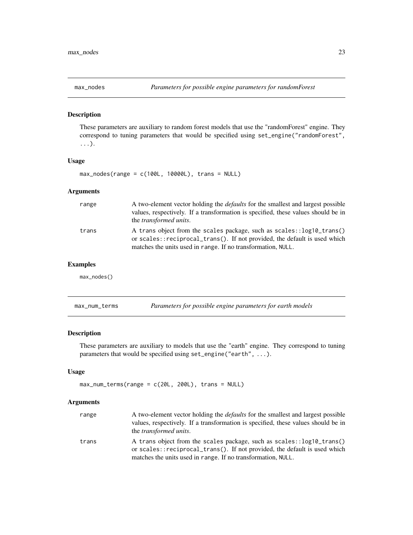<span id="page-22-0"></span>

These parameters are auxiliary to random forest models that use the "randomForest" engine. They correspond to tuning parameters that would be specified using set\_engine("randomForest", ...).

#### Usage

max\_nodes(range = c(100L, 10000L), trans = NULL)

#### Arguments

| range | A two-element vector holding the <i>defaults</i> for the smallest and largest possible<br>values, respectively. If a transformation is specified, these values should be in<br>the <i>transformed units</i> .      |
|-------|--------------------------------------------------------------------------------------------------------------------------------------------------------------------------------------------------------------------|
| trans | A trans object from the scales package, such as scales::log10_trans()<br>or scales::reciprocal_trans(). If not provided, the default is used which<br>matches the units used in range. If no transformation, NULL. |

#### Examples

max\_nodes()

| max_num_terms |  | Parameters for possible engine parameters for earth models |  |
|---------------|--|------------------------------------------------------------|--|
|               |  |                                                            |  |

## Description

These parameters are auxiliary to models that use the "earth" engine. They correspond to tuning parameters that would be specified using set\_engine("earth", ...).

#### Usage

 $max\_num\_terms(range = c(20L, 200L), trans = NULL)$ 

#### Arguments

| range | A two-element vector holding the <i>defaults</i> for the smallest and largest possible<br>values, respectively. If a transformation is specified, these values should be in<br>the <i>transformed units</i> .      |
|-------|--------------------------------------------------------------------------------------------------------------------------------------------------------------------------------------------------------------------|
| trans | A trans object from the scales package, such as scales::log10_trans()<br>or scales::reciprocal_trans(). If not provided, the default is used which<br>matches the units used in range. If no transformation, NULL. |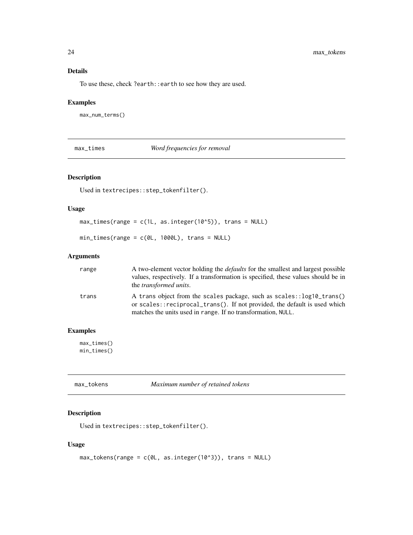## Details

To use these, check ?earth::earth to see how they are used.

#### Examples

max\_num\_terms()

max\_times *Word frequencies for removal*

#### Description

Used in textrecipes::step\_tokenfilter().

#### Usage

```
max_times(range = c(1L, as.integer(10^5)), trans = NULL)
```
min\_times(range = c(0L, 1000L), trans = NULL)

#### Arguments

| range | A two-element vector holding the <i>defaults</i> for the smallest and largest possible<br>values, respectively. If a transformation is specified, these values should be in<br>the <i>transformed units</i> .      |
|-------|--------------------------------------------------------------------------------------------------------------------------------------------------------------------------------------------------------------------|
| trans | A trans object from the scales package, such as scales::log10_trans()<br>or scales::reciprocal_trans(). If not provided, the default is used which<br>matches the units used in range. If no transformation, NULL. |

## Examples

max\_times() min\_times()

| max_tokens | Maximum number of retained tokens |
|------------|-----------------------------------|
|            |                                   |

#### Description

```
Used in textrecipes::step_tokenfilter().
```
#### Usage

```
max\_tokens(range = c(0L, as.integer(10<sup>0</sup>3)), trans = NULL)
```
<span id="page-23-0"></span>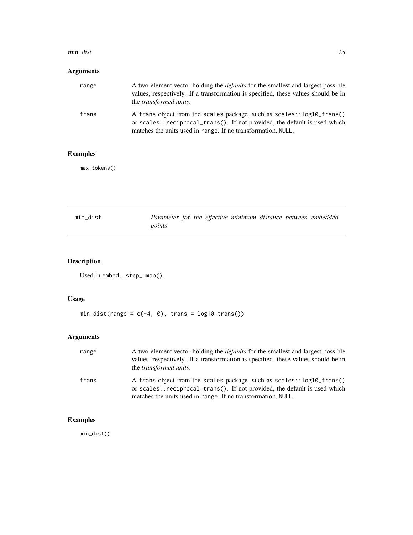#### <span id="page-24-0"></span>min\_dist 25

## Arguments

| range | A two-element vector holding the <i>defaults</i> for the smallest and largest possible<br>values, respectively. If a transformation is specified, these values should be in<br>the <i>transformed units</i> .      |
|-------|--------------------------------------------------------------------------------------------------------------------------------------------------------------------------------------------------------------------|
| trans | A trans object from the scales package, such as scales::log10_trans()<br>or scales::reciprocal_trans(). If not provided, the default is used which<br>matches the units used in range. If no transformation, NULL. |

## Examples

max\_tokens()

| min dist | Parameter for the effective minimum distance between embedded |  |  |  |  |
|----------|---------------------------------------------------------------|--|--|--|--|
|          | points                                                        |  |  |  |  |

## Description

Used in embed::step\_umap().

## Usage

 $min\_dist(range = c(-4, 0), trans = log10_trans())$ 

## Arguments

| range | A two-element vector holding the <i>defaults</i> for the smallest and largest possible<br>values, respectively. If a transformation is specified, these values should be in<br>the <i>transformed units</i> .      |
|-------|--------------------------------------------------------------------------------------------------------------------------------------------------------------------------------------------------------------------|
| trans | A trans object from the scales package, such as scales::log10_trans()<br>or scales::reciprocal_trans(). If not provided, the default is used which<br>matches the units used in range. If no transformation, NULL. |

## Examples

min\_dist()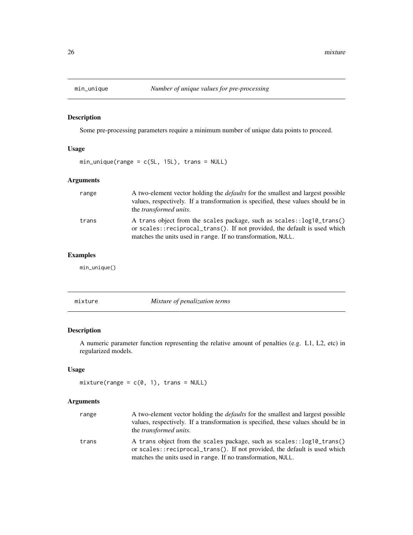<span id="page-25-0"></span>

Some pre-processing parameters require a minimum number of unique data points to proceed.

## Usage

 $min\_unique(range = c(5L, 15L), trans = NULL)$ 

#### Arguments

| range | A two-element vector holding the <i>defaults</i> for the smallest and largest possible<br>values, respectively. If a transformation is specified, these values should be in<br>the <i>transformed units</i> .      |
|-------|--------------------------------------------------------------------------------------------------------------------------------------------------------------------------------------------------------------------|
| trans | A trans object from the scales package, such as scales::log10_trans()<br>or scales::reciprocal_trans(). If not provided, the default is used which<br>matches the units used in range. If no transformation, NULL. |

#### Examples

min\_unique()

mixture *Mixture of penalization terms*

#### Description

A numeric parameter function representing the relative amount of penalties (e.g. L1, L2, etc) in regularized models.

#### Usage

```
mixture(range = c(0, 1), trans = NULL)
```
#### Arguments

| range | A two-element vector holding the <i>defaults</i> for the smallest and largest possible<br>values, respectively. If a transformation is specified, these values should be in<br>the <i>transformed units</i> .      |
|-------|--------------------------------------------------------------------------------------------------------------------------------------------------------------------------------------------------------------------|
| trans | A trans object from the scales package, such as scales::log10_trans()<br>or scales::reciprocal_trans(). If not provided, the default is used which<br>matches the units used in range. If no transformation, NULL. |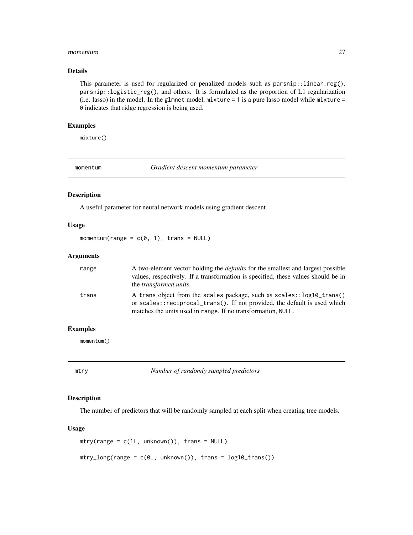#### <span id="page-26-0"></span>momentum 27

#### Details

This parameter is used for regularized or penalized models such as  $paramip::linear_reg(),$ parsnip::logistic\_reg(), and others. It is formulated as the proportion of L1 regularization (i.e. lasso) in the model. In the glmnet model, mixture = 1 is a pure lasso model while mixture = 0 indicates that ridge regression is being used.

#### Examples

mixture()

momentum *Gradient descent momentum parameter*

#### Description

A useful parameter for neural network models using gradient descent

#### Usage

momentum(range =  $c(0, 1)$ , trans = NULL)

#### Arguments

| range | A two-element vector holding the <i>defaults</i> for the smallest and largest possible<br>values, respectively. If a transformation is specified, these values should be in<br>the <i>transformed units</i> .      |
|-------|--------------------------------------------------------------------------------------------------------------------------------------------------------------------------------------------------------------------|
| trans | A trans object from the scales package, such as scales::log10_trans()<br>or scales::reciprocal_trans(). If not provided, the default is used which<br>matches the units used in range. If no transformation, NULL. |

#### Examples

momentum()

<span id="page-26-1"></span>mtry *Number of randomly sampled predictors*

#### Description

The number of predictors that will be randomly sampled at each split when creating tree models.

#### Usage

```
mtry(range = c(1L, unknown()), trans = NULL)
mtry\_long(range = c(0L, unknown()), trans = log10_ttrans())
```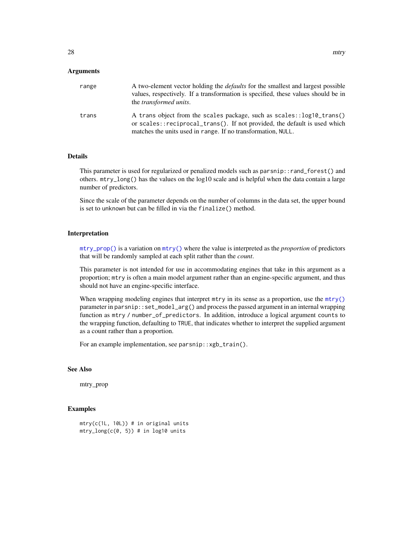<span id="page-27-0"></span>

| range | A two-element vector holding the <i>defaults</i> for the smallest and largest possible<br>values, respectively. If a transformation is specified, these values should be in<br>the <i>transformed units</i> .      |
|-------|--------------------------------------------------------------------------------------------------------------------------------------------------------------------------------------------------------------------|
| trans | A trans object from the scales package, such as scales::log10_trans()<br>or scales::reciprocal_trans(). If not provided, the default is used which<br>matches the units used in range. If no transformation, NULL. |

#### Details

This parameter is used for regularized or penalized models such as parsnip::rand\_forest() and others. mtry\_long() has the values on the log10 scale and is helpful when the data contain a large number of predictors.

Since the scale of the parameter depends on the number of columns in the data set, the upper bound is set to unknown but can be filled in via the finalize() method.

#### Interpretation

[mtry\\_prop\(\)](#page-28-1) is a variation on [mtry\(\)](#page-26-1) where the value is interpreted as the *proportion* of predictors that will be randomly sampled at each split rather than the *count*.

This parameter is not intended for use in accommodating engines that take in this argument as a proportion; mtry is often a main model argument rather than an engine-specific argument, and thus should not have an engine-specific interface.

When wrapping modeling engines that interpret mtry in its sense as a proportion, use the [mtry\(\)](#page-26-1) parameter in parsnip::set\_model\_arg() and process the passed argument in an internal wrapping function as mtry / number\_of\_predictors. In addition, introduce a logical argument counts to the wrapping function, defaulting to TRUE, that indicates whether to interpret the supplied argument as a count rather than a proportion.

For an example implementation, see parsnip::xgb\_train().

#### See Also

mtry\_prop

#### Examples

```
mtry(c(1L, 10L)) # in original units
mtry_long(c(0, 5)) # in log10 units
```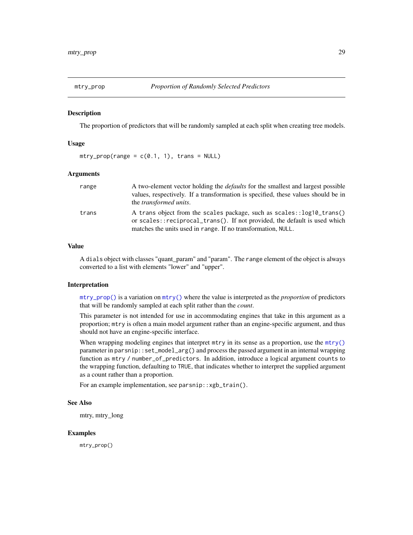<span id="page-28-1"></span><span id="page-28-0"></span>

The proportion of predictors that will be randomly sampled at each split when creating tree models.

#### Usage

 $mtry\_prop(range = c(0.1, 1), trans = NULL)$ 

#### Arguments

| range | A two-element vector holding the <i>defaults</i> for the smallest and largest possible<br>values, respectively. If a transformation is specified, these values should be in<br>the <i>transformed units</i> .      |
|-------|--------------------------------------------------------------------------------------------------------------------------------------------------------------------------------------------------------------------|
| trans | A trans object from the scales package, such as scales::log10_trans()<br>or scales::reciprocal_trans(). If not provided, the default is used which<br>matches the units used in range. If no transformation, NULL. |

#### Value

A dials object with classes "quant\_param" and "param". The range element of the object is always converted to a list with elements "lower" and "upper".

#### Interpretation

[mtry\\_prop\(\)](#page-28-1) is a variation on [mtry\(\)](#page-26-1) where the value is interpreted as the *proportion* of predictors that will be randomly sampled at each split rather than the *count*.

This parameter is not intended for use in accommodating engines that take in this argument as a proportion; mtry is often a main model argument rather than an engine-specific argument, and thus should not have an engine-specific interface.

When wrapping modeling engines that interpret mtry in its sense as a proportion, use the [mtry\(\)](#page-26-1) parameter in parsnip::set\_model\_arg() and process the passed argument in an internal wrapping function as mtry / number\_of\_predictors. In addition, introduce a logical argument counts to the wrapping function, defaulting to TRUE, that indicates whether to interpret the supplied argument as a count rather than a proportion.

For an example implementation, see parsnip::xgb\_train().

#### See Also

mtry, mtry\_long

#### Examples

mtry\_prop()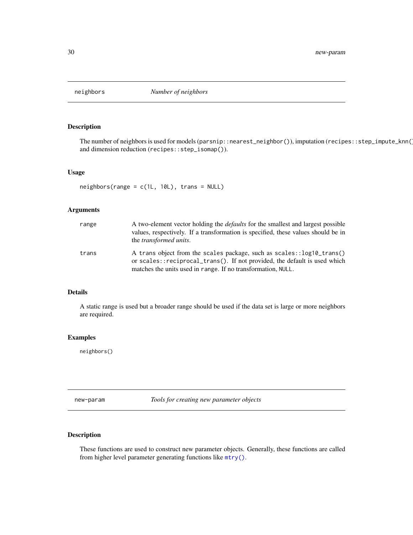<span id="page-29-0"></span>

The number of neighbors is used for models (parsnip::nearest\_neighbor()), imputation (recipes::step\_impute\_knn( and dimension reduction (recipes::step\_isomap()).

#### Usage

 $neighbours(range = c(1L, 10L), trans = NULL)$ 

#### Arguments

| range | A two-element vector holding the <i>defaults</i> for the smallest and largest possible<br>values, respectively. If a transformation is specified, these values should be in<br>the <i>transformed units</i> .      |
|-------|--------------------------------------------------------------------------------------------------------------------------------------------------------------------------------------------------------------------|
| trans | A trans object from the scales package, such as scales::log10_trans()<br>or scales::reciprocal_trans(). If not provided, the default is used which<br>matches the units used in range. If no transformation, NULL. |

#### Details

A static range is used but a broader range should be used if the data set is large or more neighbors are required.

#### Examples

neighbors()

new-param *Tools for creating new parameter objects*

#### Description

These functions are used to construct new parameter objects. Generally, these functions are called from higher level parameter generating functions like [mtry\(\)](#page-26-1).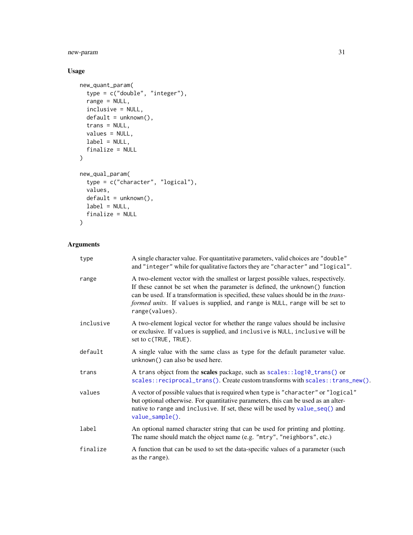<span id="page-30-0"></span>new-param 31

## Usage

```
new_quant_param(
  type = c("double", "integer"),
  range = NULL,
  inclusive = NULL,
  default = unknown(),
  trans = NULL,
  values = NULL,
  label = NULL,finalize = NULL
)
new_qual_param(
  type = c("character", "logical"),
  values,
  default = unknown(),label = NULL,finalize = NULL
\mathcal{L}
```
## Arguments

| type      | A single character value. For quantitative parameters, valid choices are "double"<br>and "integer" while for qualitative factors they are "character" and "logical".                                                                                                                                                                                              |
|-----------|-------------------------------------------------------------------------------------------------------------------------------------------------------------------------------------------------------------------------------------------------------------------------------------------------------------------------------------------------------------------|
| range     | A two-element vector with the smallest or largest possible values, respectively.<br>If these cannot be set when the parameter is defined, the unknown() function<br>can be used. If a transformation is specified, these values should be in the <i>trans</i> -<br>formed units. If values is supplied, and range is NULL, range will be set to<br>range(values). |
| inclusive | A two-element logical vector for whether the range values should be inclusive<br>or exclusive. If values is supplied, and inclusive is NULL, inclusive will be<br>set to c(TRUE, TRUE).                                                                                                                                                                           |
| default   | A single value with the same class as type for the default parameter value.<br>unknown() can also be used here.                                                                                                                                                                                                                                                   |
| trans     | A trans object from the scales package, such as scales::log10_trans() or<br>scales::reciprocal_trans(). Create custom transforms with scales::trans_new().                                                                                                                                                                                                        |
| values    | A vector of possible values that is required when type is "character" or "logical"<br>but optional otherwise. For quantitative parameters, this can be used as an alter-<br>native to range and inclusive. If set, these will be used by value_seq() and<br>value_sample().                                                                                       |
| label     | An optional named character string that can be used for printing and plotting.<br>The name should match the object name (e.g. "mtry", "neighbors", etc.)                                                                                                                                                                                                          |
| finalize  | A function that can be used to set the data-specific values of a parameter (such<br>as the range).                                                                                                                                                                                                                                                                |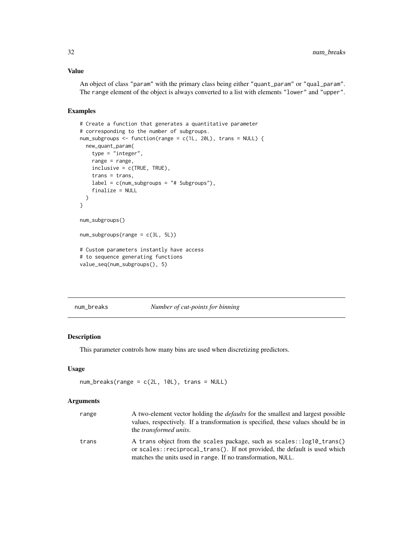#### <span id="page-31-0"></span>Value

An object of class "param" with the primary class being either "quant\_param" or "qual\_param". The range element of the object is always converted to a list with elements "lower" and "upper".

#### Examples

```
# Create a function that generates a quantitative parameter
# corresponding to the number of subgroups.
num_subgroups <- function(range = c(1L, 20L), trans = NULL) {
  new_quant_param(
    type = "integer",
   range = range,
   inclusive = c(TRUE, TRUE),
   trans = trans,
   label = c(num\_subgroups = "# Subgroups"),finalize = NULL
  )
}
num_subgroups()
num_subgroups(range = c(3L, 5L))
# Custom parameters instantly have access
# to sequence generating functions
value_seq(num_subgroups(), 5)
```
num\_breaks *Number of cut-points for binning*

#### Description

This parameter controls how many bins are used when discretizing predictors.

#### Usage

```
num_breaks(range = c(2L, 10L), trans = NULL)
```
#### Arguments

| range | A two-element vector holding the <i>defaults</i> for the smallest and largest possible<br>values, respectively. If a transformation is specified, these values should be in<br>the <i>transformed units</i> .      |
|-------|--------------------------------------------------------------------------------------------------------------------------------------------------------------------------------------------------------------------|
| trans | A trans object from the scales package, such as scales::log10_trans()<br>or scales::reciprocal_trans(). If not provided, the default is used which<br>matches the units used in range. If no transformation, NULL. |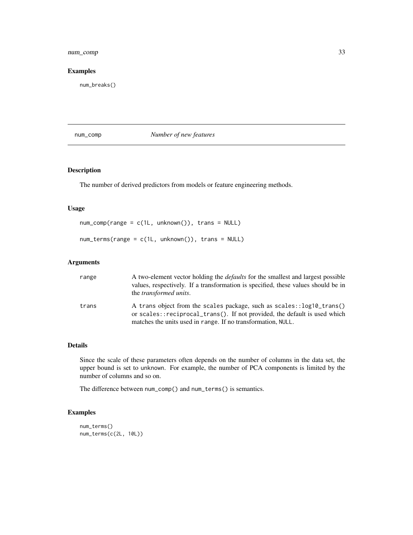#### <span id="page-32-0"></span>num\_comp 33

#### Examples

num\_breaks()

num\_comp *Number of new features*

#### Description

The number of derived predictors from models or feature engineering methods.

#### Usage

```
num_comp(range = c(1L, unknown()), trans = NULL)
num_terms(range = c(1L, unknown()), trans = NULL)
```
#### Arguments

| range | A two-element vector holding the <i>defaults</i> for the smallest and largest possible<br>values, respectively. If a transformation is specified, these values should be in<br>the <i>transformed units</i> .      |
|-------|--------------------------------------------------------------------------------------------------------------------------------------------------------------------------------------------------------------------|
| trans | A trans object from the scales package, such as scales::log10_trans()<br>or scales::reciprocal_trans(). If not provided, the default is used which<br>matches the units used in range. If no transformation, NULL. |

#### Details

Since the scale of these parameters often depends on the number of columns in the data set, the upper bound is set to unknown. For example, the number of PCA components is limited by the number of columns and so on.

The difference between num\_comp() and num\_terms() is semantics.

#### Examples

```
num_terms()
num_terms(c(2L, 10L))
```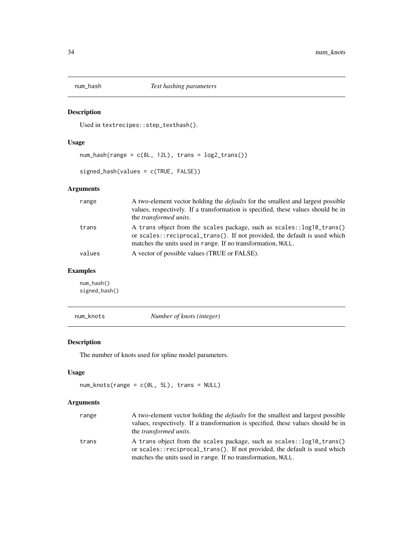<span id="page-33-0"></span>

Used in textrecipes::step\_texthash().

#### Usage

 $num\_hash(range = c(8L, 12L), trans = log2_transform())$ 

signed\_hash(values = c(TRUE, FALSE))

#### Arguments

| range  | A two-element vector holding the <i>defaults</i> for the smallest and largest possible<br>values, respectively. If a transformation is specified, these values should be in<br>the <i>transformed units</i> .      |
|--------|--------------------------------------------------------------------------------------------------------------------------------------------------------------------------------------------------------------------|
| trans  | A trans object from the scales package, such as scales::log10_trans()<br>or scales::reciprocal_trans(). If not provided, the default is used which<br>matches the units used in range. If no transformation, NULL. |
| values | A vector of possible values (TRUE or FALSE).                                                                                                                                                                       |

#### Examples

num\_hash() signed\_hash()

num\_knots *Number of knots (integer)*

#### Description

The number of knots used for spline model parameters.

#### Usage

```
num_knots(range = c(0L, 5L), trans = NULL)
```
## Arguments

| range | A two-element vector holding the <i>defaults</i> for the smallest and largest possible<br>values, respectively. If a transformation is specified, these values should be in<br>the <i>transformed units</i> .      |
|-------|--------------------------------------------------------------------------------------------------------------------------------------------------------------------------------------------------------------------|
| trans | A trans object from the scales package, such as scales::log10_trans()<br>or scales::reciprocal_trans(). If not provided, the default is used which<br>matches the units used in range. If no transformation, NULL. |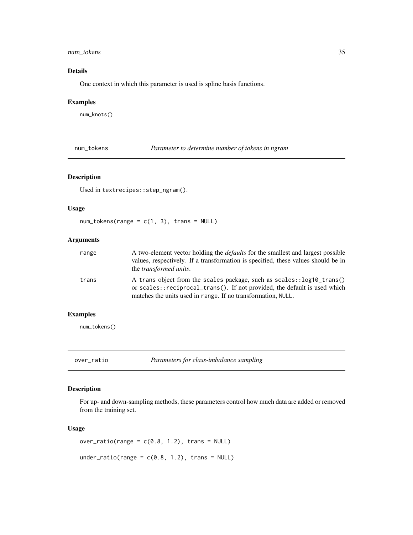#### <span id="page-34-0"></span>num\_tokens 35

## Details

One context in which this parameter is used is spline basis functions.

#### Examples

num\_knots()

num\_tokens *Parameter to determine number of tokens in ngram*

#### Description

Used in textrecipes::step\_ngram().

## Usage

 $num\_tokens(range = c(1, 3), trans = NULL)$ 

#### Arguments

| range | A two-element vector holding the <i>defaults</i> for the smallest and largest possible<br>values, respectively. If a transformation is specified, these values should be in<br>the <i>transformed units</i> .      |
|-------|--------------------------------------------------------------------------------------------------------------------------------------------------------------------------------------------------------------------|
| trans | A trans object from the scales package, such as scales::log10_trans()<br>or scales::reciprocal_trans(). If not provided, the default is used which<br>matches the units used in range. If no transformation, NULL. |

#### Examples

num\_tokens()

over\_ratio *Parameters for class-imbalance sampling*

#### Description

For up- and down-sampling methods, these parameters control how much data are added or removed from the training set.

#### Usage

```
over\_ratio(range = c(0.8, 1.2), trans = NULL)under_ratio(range = c(0.8, 1.2), trans = NULL)
```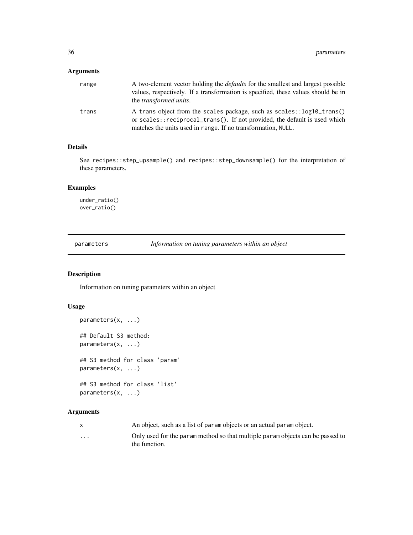<span id="page-35-0"></span>

| range | A two-element vector holding the <i>defaults</i> for the smallest and largest possible<br>values, respectively. If a transformation is specified, these values should be in<br>the <i>transformed units</i> .      |
|-------|--------------------------------------------------------------------------------------------------------------------------------------------------------------------------------------------------------------------|
| trans | A trans object from the scales package, such as scales::log10_trans()<br>or scales::reciprocal_trans(). If not provided, the default is used which<br>matches the units used in range. If no transformation, NULL. |

## Details

See recipes::step\_upsample() and recipes::step\_downsample() for the interpretation of these parameters.

#### Examples

```
under_ratio()
over_ratio()
```
parameters *Information on tuning parameters within an object*

#### **Description**

Information on tuning parameters within an object

#### Usage

```
parameters(x, ...)
## Default S3 method:
parameters(x, ...)
## S3 method for class 'param'
parameters(x, ...)
## S3 method for class 'list'
parameters(x, ...)
```
#### Arguments

|                         | An object, such as a list of param objects or an actual param object.                           |
|-------------------------|-------------------------------------------------------------------------------------------------|
| $\cdot$ $\cdot$ $\cdot$ | Only used for the param method so that multiple param objects can be passed to<br>the function. |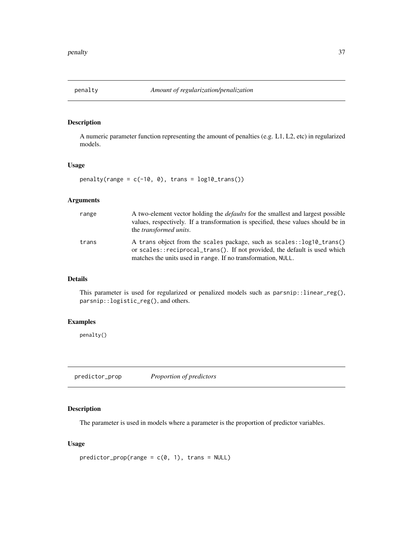<span id="page-36-1"></span><span id="page-36-0"></span>

A numeric parameter function representing the amount of penalties (e.g. L1, L2, etc) in regularized models.

#### Usage

```
penalty(range = c(-10, 0), trans = log10_trains())
```
#### Arguments

| range | A two-element vector holding the <i>defaults</i> for the smallest and largest possible<br>values, respectively. If a transformation is specified, these values should be in<br>the <i>transformed units</i> .      |
|-------|--------------------------------------------------------------------------------------------------------------------------------------------------------------------------------------------------------------------|
| trans | A trans object from the scales package, such as scales::log10_trans()<br>or scales::reciprocal_trans(). If not provided, the default is used which<br>matches the units used in range. If no transformation, NULL. |

## Details

This parameter is used for regularized or penalized models such as parsnip::linear\_reg(), parsnip::logistic\_reg(), and others.

#### Examples

penalty()

predictor\_prop *Proportion of predictors*

#### Description

The parameter is used in models where a parameter is the proportion of predictor variables.

#### Usage

```
predictor\_prop(range = c(0, 1), trans = NULL)
```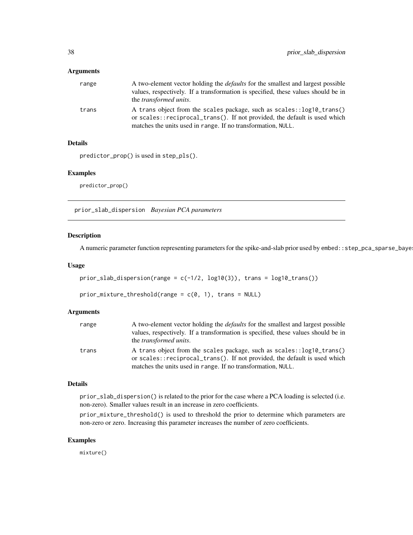<span id="page-37-0"></span>

| range | A two-element vector holding the <i>defaults</i> for the smallest and largest possible<br>values, respectively. If a transformation is specified, these values should be in<br>the <i>transformed units</i> .      |
|-------|--------------------------------------------------------------------------------------------------------------------------------------------------------------------------------------------------------------------|
| trans | A trans object from the scales package, such as scales::log10_trans()<br>or scales::reciprocal_trans(). If not provided, the default is used which<br>matches the units used in range. If no transformation, NULL. |

#### Details

```
predictor_prop() is used in step_pls().
```
#### Examples

predictor\_prop()

prior\_slab\_dispersion *Bayesian PCA parameters*

#### Description

A numeric parameter function representing parameters for the spike-and-slab prior used by embed::step\_pca\_sparse\_baye

#### Usage

```
prior\_slab\_dispersion(range = c(-1/2, log10(3)), trans = log10_trans())
```
prior\_mixture\_threshold(range =  $c(0, 1)$ , trans = NULL)

#### Arguments

| range | A two-element vector holding the <i>defaults</i> for the smallest and largest possible                                                             |
|-------|----------------------------------------------------------------------------------------------------------------------------------------------------|
|       | values, respectively. If a transformation is specified, these values should be in                                                                  |
|       | the <i>transformed units</i> .                                                                                                                     |
| trans | A trans object from the scales package, such as scales::log10_trans()<br>or scales::reciprocal_trans(). If not provided, the default is used which |
|       | matches the units used in range. If no transformation, NULL.                                                                                       |

#### Details

prior\_slab\_dispersion() is related to the prior for the case where a PCA loading is selected (i.e. non-zero). Smaller values result in an increase in zero coefficients.

prior\_mixture\_threshold() is used to threshold the prior to determine which parameters are non-zero or zero. Increasing this parameter increases the number of zero coefficients.

#### Examples

mixture()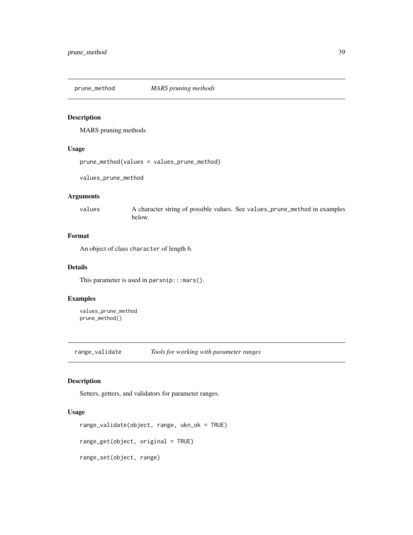<span id="page-38-0"></span>prune\_method *MARS pruning methods*

#### Description

MARS pruning methods

#### Usage

```
prune_method(values = values_prune_method)
```
values\_prune\_method

#### Arguments

values A character string of possible values. See values\_prune\_method in examples below.

#### Format

An object of class character of length 6.

#### Details

This parameter is used in parsnip:::  $mars()$ .

#### Examples

values\_prune\_method prune\_method()

range\_validate *Tools for working with parameter ranges*

#### Description

Setters, getters, and validators for parameter ranges.

#### Usage

```
range_validate(object, range, ukn_ok = TRUE)
range_get(object, original = TRUE)
range_set(object, range)
```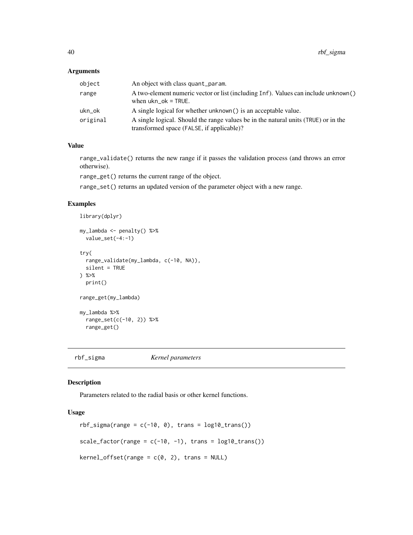<span id="page-39-0"></span>

| object   | An object with class quant param.                                                                                               |
|----------|---------------------------------------------------------------------------------------------------------------------------------|
| range    | A two-element numeric vector or list (including Inf). Values can include unknown()<br>when $ukn$ <sub>-O</sub> $k$ = TRUE.      |
| ukn_ok   | A single logical for whether unknown() is an acceptable value.                                                                  |
| original | A single logical. Should the range values be in the natural units (TRUE) or in the<br>transformed space (FALSE, if applicable)? |

## Value

range\_validate() returns the new range if it passes the validation process (and throws an error otherwise).

range\_get() returns the current range of the object.

range\_set() returns an updated version of the parameter object with a new range.

#### Examples

library(dplyr)

```
my_lambda <- penalty() %>%
  value_set(-4:-1)
try(
  range_validate(my_lambda, c(-10, NA)),
  silent = TRUE
) %>%
  print()
range_get(my_lambda)
my_lambda %>%
  range_set(c(-10, 2)) %>%
  range_get()
```
rbf\_sigma *Kernel parameters*

#### Description

Parameters related to the radial basis or other kernel functions.

#### Usage

```
rbf_sigma(range = c(-10, 0), trans = log10_trans())scale_factor(range = c(-10, -1), trans = log10_ttrans())
kernel_offset(range = c(0, 2), trans = NULL)
```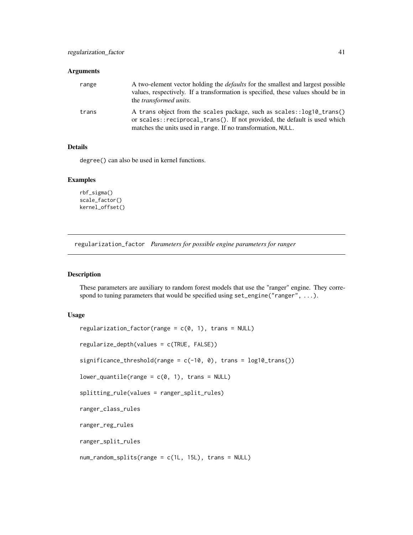<span id="page-40-0"></span>

| range | A two-element vector holding the <i>defaults</i> for the smallest and largest possible<br>values, respectively. If a transformation is specified, these values should be in<br>the <i>transformed units</i> .      |
|-------|--------------------------------------------------------------------------------------------------------------------------------------------------------------------------------------------------------------------|
| trans | A trans object from the scales package, such as scales::log10_trans()<br>or scales::reciprocal_trans(). If not provided, the default is used which<br>matches the units used in range. If no transformation, NULL. |

#### Details

degree() can also be used in kernel functions.

#### Examples

```
rbf_sigma()
scale_factor()
kernel_offset()
```
regularization\_factor *Parameters for possible engine parameters for ranger*

### Description

These parameters are auxiliary to random forest models that use the "ranger" engine. They correspond to tuning parameters that would be specified using set\_engine("ranger", ...).

#### Usage

```
regularization_factor(range = c(0, 1), trans = NULL)
```

```
regularize_depth(values = c(TRUE, FALSE))
```
significance\_threshold(range =  $c(-10, 0)$ , trans =  $log10_t$ trans())

```
lower_quantile(range = c(0, 1), trans = NULL)
```

```
splitting_rule(values = ranger_split_rules)
```
ranger\_class\_rules

ranger\_reg\_rules

ranger\_split\_rules

num\_random\_splits(range = c(1L, 15L), trans = NULL)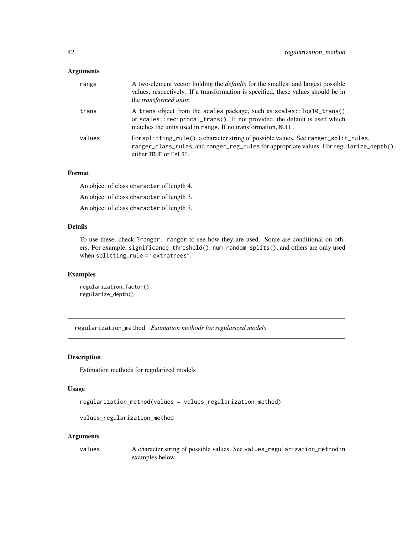<span id="page-41-0"></span>

| range  | A two-element vector holding the <i>defaults</i> for the smallest and largest possible<br>values, respectively. If a transformation is specified, these values should be in<br>the transformed units.              |
|--------|--------------------------------------------------------------------------------------------------------------------------------------------------------------------------------------------------------------------|
| trans  | A trans object from the scales package, such as scales::log10_trans()<br>or scales::reciprocal_trans(). If not provided, the default is used which<br>matches the units used in range. If no transformation, NULL. |
| values | For splitting_rule(), a character string of possible values. See ranger_split_rules,<br>ranger_class_rules, and ranger_reg_rules for appropriate values. For regularize_depth(),<br>either TRUE or FALSE.          |

#### Format

An object of class character of length 4.

An object of class character of length 3.

An object of class character of length 7.

#### Details

To use these, check ?ranger::ranger to see how they are used. Some are conditional on others. For example, significance\_threshold(), num\_random\_splits(), and others are only used when splitting\_rule = "extratrees".

#### Examples

```
regularization_factor()
regularize_depth()
```
regularization\_method *Estimation methods for regularized models*

#### Description

Estimation methods for regularized models

#### Usage

regularization\_method(values = values\_regularization\_method)

```
values_regularization_method
```
#### Arguments

values A character string of possible values. See values\_regularization\_method in examples below.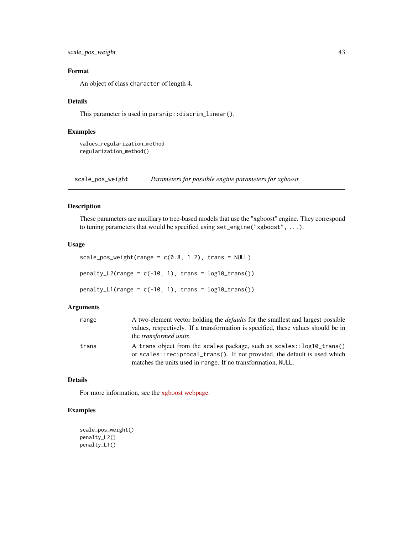<span id="page-42-0"></span>scale\_pos\_weight 43

#### Format

An object of class character of length 4.

#### Details

This parameter is used in parsnip::discrim\_linear().

#### Examples

values\_regularization\_method regularization\_method()

scale\_pos\_weight *Parameters for possible engine parameters for xgboost*

#### Description

These parameters are auxiliary to tree-based models that use the "xgboost" engine. They correspond to tuning parameters that would be specified using set\_engine("xgboost", ...).

#### Usage

```
scale_pos_weight(range = c(0.8, 1.2), trans = NULL)
```
 $penalty_L2(range = c(-10, 1), trans = log10_trans))$ 

 $penalty_l(*range = c(-10, 1)*, *trans = log10_t *trans()*)*$ 

#### Arguments

| range | A two-element vector holding the <i>defaults</i> for the smallest and largest possible<br>values, respectively. If a transformation is specified, these values should be in<br>the <i>transformed units</i> .      |
|-------|--------------------------------------------------------------------------------------------------------------------------------------------------------------------------------------------------------------------|
| trans | A trans object from the scales package, such as scales::log10_trans()<br>or scales::reciprocal_trans(). If not provided, the default is used which<br>matches the units used in range. If no transformation, NULL. |

#### Details

For more information, see the [xgboost webpage.](https://xgboost.readthedocs.io/en/latest/parameter.html)

#### Examples

```
scale_pos_weight()
penalty_L2()
penalty_L1()
```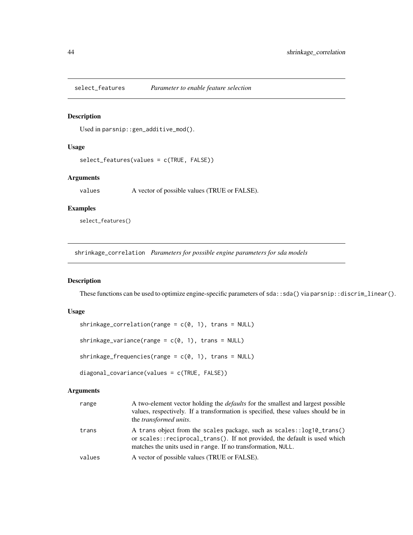<span id="page-43-0"></span>

Used in parsnip::gen\_additive\_mod().

#### Usage

```
select_features(values = c(TRUE, FALSE))
```
### Arguments

values A vector of possible values (TRUE or FALSE).

#### Examples

select\_features()

shrinkage\_correlation *Parameters for possible engine parameters for sda models*

#### Description

These functions can be used to optimize engine-specific parameters of sda::sda() via parsnip::discrim\_linear().

#### Usage

```
shrinkage_correlation(range = c(0, 1), trans = NULL)
```
shrinkage\_variance(range =  $c(\theta, 1)$ , trans = NULL)

shrinkage\_frequencies(range =  $c(0, 1)$ , trans = NULL)

diagonal\_covariance(values = c(TRUE, FALSE))

#### Arguments

| range  | A two-element vector holding the <i>defaults</i> for the smallest and largest possible<br>values, respectively. If a transformation is specified, these values should be in<br>the <i>transformed units</i> .      |
|--------|--------------------------------------------------------------------------------------------------------------------------------------------------------------------------------------------------------------------|
| trans  | A trans object from the scales package, such as scales::log10_trans()<br>or scales::reciprocal_trans(). If not provided, the default is used which<br>matches the units used in range. If no transformation, NULL. |
| values | A vector of possible values (TRUE or FALSE).                                                                                                                                                                       |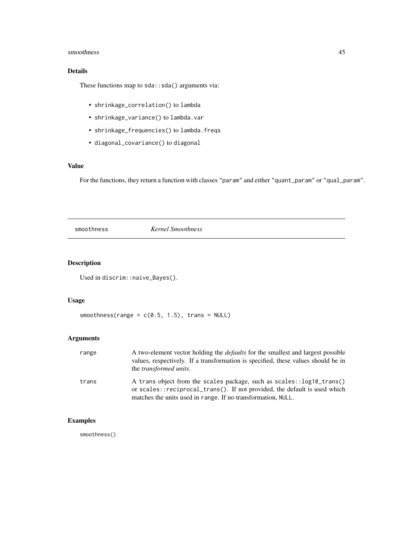#### <span id="page-44-0"></span>smoothness and the state of the state of the state of the state of the state of the state of the state of the state of the state of the state of the state of the state of the state of the state of the state of the state of

## Details

These functions map to sda::sda() arguments via:

- shrinkage\_correlation() to lambda
- shrinkage\_variance() to lambda.var
- shrinkage\_frequencies() to lambda.freqs
- diagonal\_covariance() to diagonal

#### Value

For the functions, they return a function with classes "param" and either "quant\_param" or "qual\_param".

smoothness *Kernel Smoothness*

#### Description

Used in discrim::naive\_Bayes().

## Usage

```
smoothness(range = c(0.5, 1.5), trans = NULL)
```
## Arguments

| range | A two-element vector holding the <i>defaults</i> for the smallest and largest possible<br>values, respectively. If a transformation is specified, these values should be in<br>the <i>transformed units</i> .      |
|-------|--------------------------------------------------------------------------------------------------------------------------------------------------------------------------------------------------------------------|
| trans | A trans object from the scales package, such as scales::log10_trans()<br>or scales::reciprocal_trans(). If not provided, the default is used which<br>matches the units used in range. If no transformation, NULL. |

## Examples

smoothness()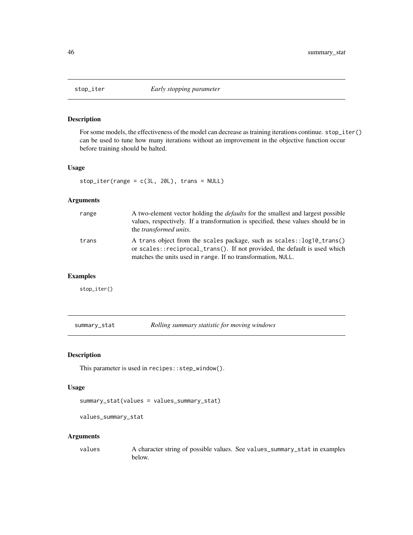<span id="page-45-0"></span>

For some models, the effectiveness of the model can decrease as training iterations continue. stop\_iter() can be used to tune how many iterations without an improvement in the objective function occur before training should be halted.

## Usage

stop\_iter(range = c(3L, 20L), trans = NULL)

#### Arguments

| range | A two-element vector holding the <i>defaults</i> for the smallest and largest possible<br>values, respectively. If a transformation is specified, these values should be in<br>the <i>transformed units</i> .      |
|-------|--------------------------------------------------------------------------------------------------------------------------------------------------------------------------------------------------------------------|
| trans | A trans object from the scales package, such as scales::log10_trans()<br>or scales::reciprocal_trans(). If not provided, the default is used which<br>matches the units used in range. If no transformation, NULL. |

#### Examples

stop\_iter()

summary\_stat *Rolling summary statistic for moving windows*

#### Description

This parameter is used in recipes::step\_window().

#### Usage

```
summary_stat(values = values_summary_stat)
```

```
values_summary_stat
```
#### Arguments

values A character string of possible values. See values\_summary\_stat in examples below.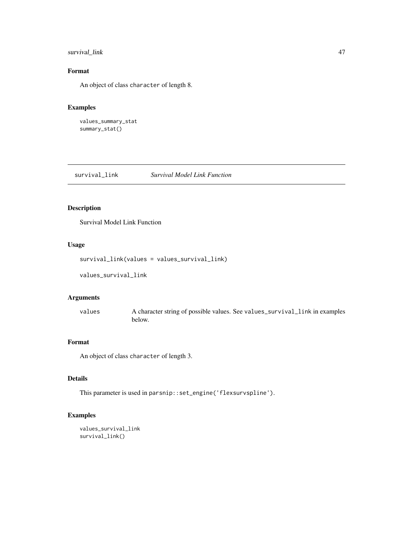#### <span id="page-46-0"></span>survival\_link 47

## Format

An object of class character of length 8.

## Examples

```
values_summary_stat
summary_stat()
```
survival\_link *Survival Model Link Function*

## Description

Survival Model Link Function

#### Usage

```
survival_link(values = values_survival_link)
```
values\_survival\_link

#### Arguments

values A character string of possible values. See values\_survival\_link in examples below.

## Format

An object of class character of length 3.

## Details

This parameter is used in parsnip::set\_engine('flexsurvspline').

#### Examples

```
values_survival_link
survival_link()
```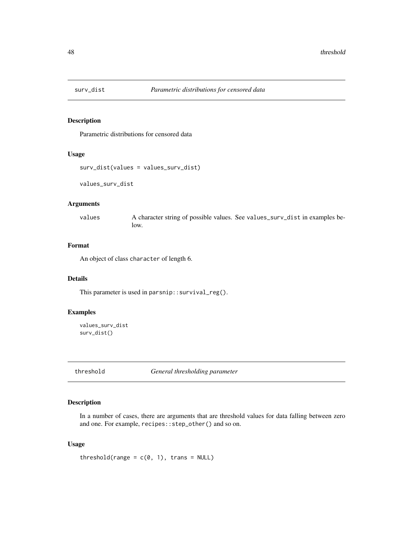<span id="page-47-0"></span>

Parametric distributions for censored data

#### Usage

```
surv_dist(values = values_surv_dist)
```
values\_surv\_dist

#### Arguments

values A character string of possible values. See values\_surv\_dist in examples below.

## Format

An object of class character of length 6.

## Details

This parameter is used in parsnip::survival\_reg().

#### Examples

```
values_surv_dist
surv_dist()
```
threshold *General thresholding parameter*

#### Description

In a number of cases, there are arguments that are threshold values for data falling between zero and one. For example, recipes::step\_other() and so on.

#### Usage

threshold(range =  $c(\emptyset, 1)$ , trans = NULL)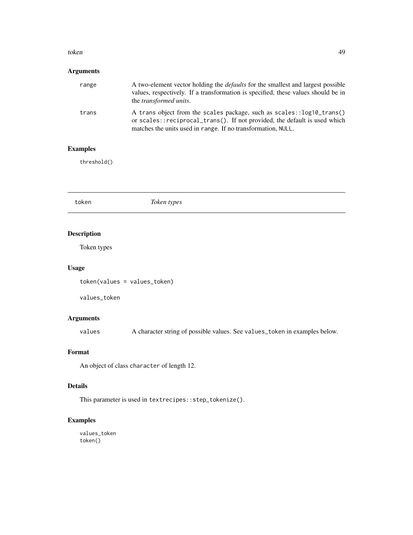#### <span id="page-48-0"></span>token 49

## Arguments

| range | A two-element vector holding the <i>defaults</i> for the smallest and largest possible<br>values, respectively. If a transformation is specified, these values should be in<br>the <i>transformed units</i> .      |
|-------|--------------------------------------------------------------------------------------------------------------------------------------------------------------------------------------------------------------------|
| trans | A trans object from the scales package, such as scales::log10_trans()<br>or scales::reciprocal_trans(). If not provided, the default is used which<br>matches the units used in range. If no transformation, NULL. |

## Examples

threshold()

token *Token types*

## Description

Token types

#### Usage

token(values = values\_token)

values\_token

## Arguments

values A character string of possible values. See values\_token in examples below.

#### Format

An object of class character of length 12.

## Details

This parameter is used in textrecipes::step\_tokenize().

## Examples

values\_token token()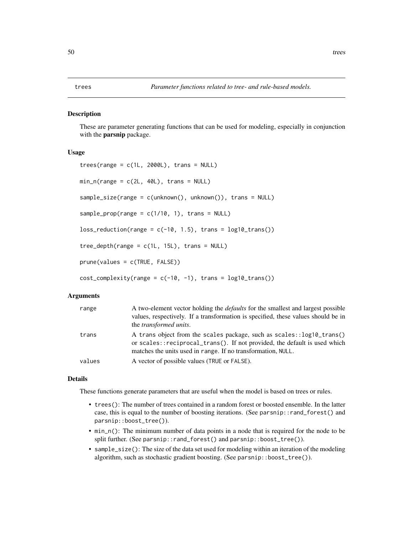<span id="page-49-0"></span>These are parameter generating functions that can be used for modeling, especially in conjunction with the parsnip package.

#### Usage

```
trees(range = c(1L, 2000L), trans = NULL)min_n(range = c(2L, 40L), trans = NULL)sample_size(range = c(unknown(), unknown()), trans = NULL)
sample_prop(range = c(1/10, 1), trans = NULL)
loss_{reduction(range = c(-10, 1.5), trans = log10_{trans}())tree\_depth(range = c(1L, 15L), trans = NULL)prune(values = c(TRUE, FALSE))
```
 $cost\_complexity(range = c(-10, -1), trans = log10_trans())$ 

#### Arguments

| range  | A two-element vector holding the <i>defaults</i> for the smallest and largest possible<br>values, respectively. If a transformation is specified, these values should be in<br>the <i>transformed units</i> .        |
|--------|----------------------------------------------------------------------------------------------------------------------------------------------------------------------------------------------------------------------|
| trans  | A trans object from the scales package, such as scales: : log10_trans()<br>or scales::reciprocal_trans(). If not provided, the default is used which<br>matches the units used in range. If no transformation, NULL. |
| values | A vector of possible values (TRUE or FALSE).                                                                                                                                                                         |

#### Details

These functions generate parameters that are useful when the model is based on trees or rules.

- trees(): The number of trees contained in a random forest or boosted ensemble. In the latter case, this is equal to the number of boosting iterations. (See parsnip::rand\_forest() and parsnip::boost\_tree()).
- min\_n(): The minimum number of data points in a node that is required for the node to be split further. (See parsnip::rand\_forest() and parsnip::boost\_tree()).
- sample\_size(): The size of the data set used for modeling within an iteration of the modeling algorithm, such as stochastic gradient boosting. (See parsnip::boost\_tree()).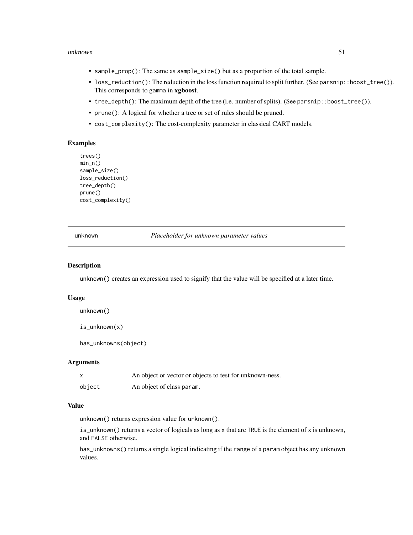#### <span id="page-50-0"></span>unknown 51

- sample\_prop(): The same as sample\_size() but as a proportion of the total sample.
- loss\_reduction(): The reduction in the loss function required to split further. (See parsnip::boost\_tree()). This corresponds to gamma in xgboost.
- tree\_depth(): The maximum depth of the tree (i.e. number of splits). (See parsnip::boost\_tree()).
- prune(): A logical for whether a tree or set of rules should be pruned.
- cost\_complexity(): The cost-complexity parameter in classical CART models.

#### Examples

```
trees()
min_n()
sample_size()
loss_reduction()
tree_depth()
prune()
cost_complexity()
```
unknown *Placeholder for unknown parameter values*

#### Description

unknown() creates an expression used to signify that the value will be specified at a later time.

#### Usage

unknown()

is\_unknown(x)

has\_unknowns(object)

#### **Arguments**

|        | An object or vector or objects to test for unknown-ness. |
|--------|----------------------------------------------------------|
| object | An object of class param.                                |

#### Value

unknown() returns expression value for unknown().

is\_unknown() returns a vector of logicals as long as x that are TRUE is the element of x is unknown, and FALSE otherwise.

has\_unknowns() returns a single logical indicating if the range of a param object has any unknown values.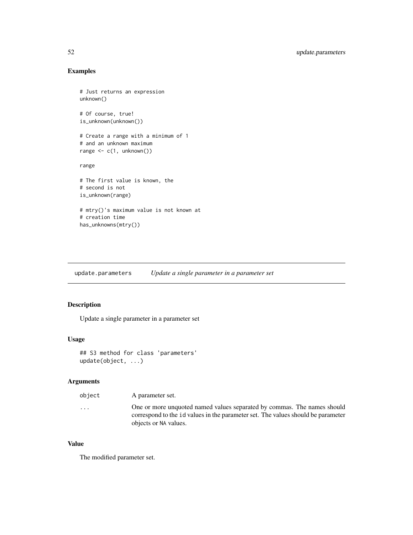#### <span id="page-51-0"></span>Examples

```
# Just returns an expression
unknown()
# Of course, true!
is_unknown(unknown())
# Create a range with a minimum of 1
# and an unknown maximum
range \leq c(1, \text{unknown}())range
# The first value is known, the
# second is not
is_unknown(range)
# mtry()'s maximum value is not known at
# creation time
has_unknowns(mtry())
```
update.parameters *Update a single parameter in a parameter set*

#### Description

Update a single parameter in a parameter set

#### Usage

```
## S3 method for class 'parameters'
update(object, ...)
```
#### Arguments

| object  | A parameter set.                                                                                                                                            |
|---------|-------------------------------------------------------------------------------------------------------------------------------------------------------------|
| $\cdot$ | One or more unquoted named values separated by commas. The names should<br>correspond to the id values in the parameter set. The values should be parameter |
|         | objects or NA values.                                                                                                                                       |

#### Value

The modified parameter set.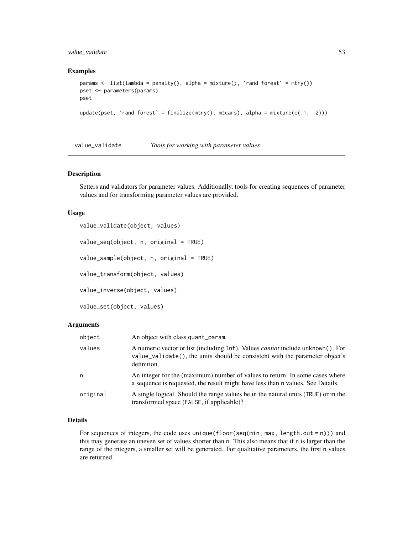#### <span id="page-52-0"></span>value\_validate 53

#### Examples

```
params \leq list(lambda = penalty(), alpha = mixture(), 'rand forest' = mtry())
pset <- parameters(params)
pset
update(pset, `rand forest` = finalize(mtry(), mtcars), alpha = mixture(c(.1, .2)))
```

| value_validate | Tools for working with parameter values |  |
|----------------|-----------------------------------------|--|
|----------------|-----------------------------------------|--|

#### <span id="page-52-1"></span>Description

Setters and validators for parameter values. Additionally, tools for creating sequences of parameter values and for transforming parameter values are provided.

#### Usage

```
value_validate(object, values)
```
value\_seq(object, n, original = TRUE)

value\_sample(object, n, original = TRUE)

value\_transform(object, values)

value\_inverse(object, values)

value\_set(object, values)

#### Arguments

| object   | An object with class quant param.                                                                                                                                                    |
|----------|--------------------------------------------------------------------------------------------------------------------------------------------------------------------------------------|
| values   | A numeric vector or list (including Inf). Values <i>cannot</i> include unknown(). For<br>value_validate(), the units should be consistent with the parameter object's<br>definition. |
| n        | An integer for the (maximum) number of values to return. In some cases where<br>a sequence is requested, the result might have less than n values. See Details.                      |
| original | A single logical. Should the range values be in the natural units (TRUE) or in the<br>transformed space (FALSE, if applicable)?                                                      |

## Details

For sequences of integers, the code uses unique (floor(seq(min, max, length.out = n))) and this may generate an uneven set of values shorter than n. This also means that if n is larger than the range of the integers, a smaller set will be generated. For qualitative parameters, the first n values are returned.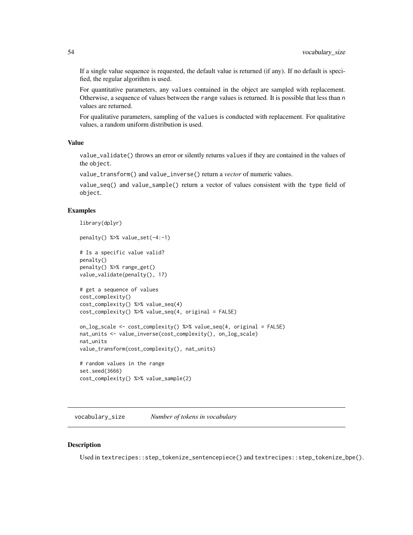<span id="page-53-0"></span>If a single value sequence is requested, the default value is returned (if any). If no default is specified, the regular algorithm is used.

For quantitative parameters, any values contained in the object are sampled with replacement. Otherwise, a sequence of values between the range values is returned. It is possible that less than n values are returned.

For qualitative parameters, sampling of the values is conducted with replacement. For qualitative values, a random uniform distribution is used.

#### Value

value\_validate() throws an error or silently returns values if they are contained in the values of the object.

value\_transform() and value\_inverse() return a *vector* of numeric values.

value\_seq() and value\_sample() return a vector of values consistent with the type field of object.

#### Examples

```
library(dplyr)
penalty() %>% value_set(-4:-1)
# Is a specific value valid?
penalty()
penalty() %>% range_get()
value_validate(penalty(), 17)
# get a sequence of values
cost_complexity()
cost_complexity() %>% value_seq(4)
cost_complexity() %>% value_seq(4, original = FALSE)
on_log_scale <- cost_complexity() %>% value_seq(4, original = FALSE)
nat_units <- value_inverse(cost_complexity(), on_log_scale)
nat_units
value_transform(cost_complexity(), nat_units)
# random values in the range
set.seed(3666)
cost_complexity() %>% value_sample(2)
```
vocabulary\_size *Number of tokens in vocabulary*

#### **Description**

Used in textrecipes::step\_tokenize\_sentencepiece() and textrecipes::step\_tokenize\_bpe().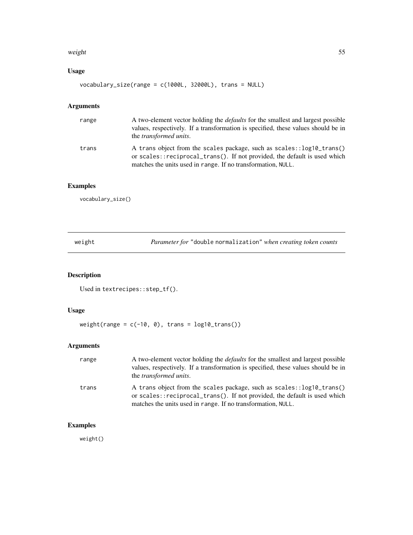#### <span id="page-54-0"></span>weight 55

## Usage

vocabulary\_size(range = c(1000L, 32000L), trans = NULL)

## Arguments

| range | A two-element vector holding the <i>defaults</i> for the smallest and largest possible<br>values, respectively. If a transformation is specified, these values should be in<br>the <i>transformed units</i> .      |
|-------|--------------------------------------------------------------------------------------------------------------------------------------------------------------------------------------------------------------------|
| trans | A trans object from the scales package, such as scales::log10_trans()<br>or scales::reciprocal_trans(). If not provided, the default is used which<br>matches the units used in range. If no transformation, NULL. |

## Examples

vocabulary\_size()

weight *Parameter for* "double normalization" *when creating token counts*

## Description

Used in textrecipes::step\_tf().

#### Usage

 $weight(range = c(-10, 0), trans = log10_trains())$ 

## Arguments

| range | A two-element vector holding the <i>defaults</i> for the smallest and largest possible<br>values, respectively. If a transformation is specified, these values should be in<br>the <i>transformed units</i> .      |
|-------|--------------------------------------------------------------------------------------------------------------------------------------------------------------------------------------------------------------------|
| trans | A trans object from the scales package, such as scales::log10_trans()<br>or scales::reciprocal_trans(). If not provided, the default is used which<br>matches the units used in range. If no transformation, NULL. |

## Examples

weight()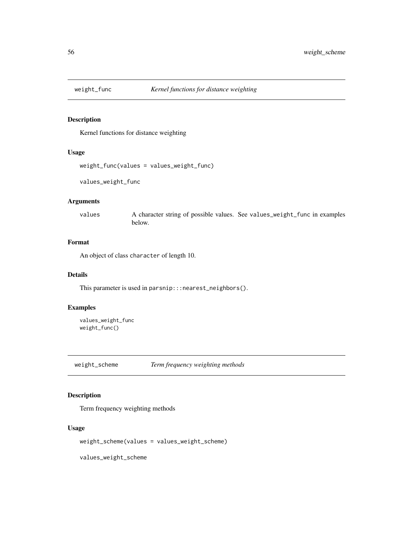<span id="page-55-0"></span>

Kernel functions for distance weighting

#### Usage

```
weight_func(values = values_weight_func)
```
values\_weight\_func

#### Arguments

values A character string of possible values. See values\_weight\_func in examples below.

#### Format

An object of class character of length 10.

#### Details

This parameter is used in parsnip:::nearest\_neighbors().

### Examples

values\_weight\_func weight\_func()

weight\_scheme *Term frequency weighting methods*

## Description

Term frequency weighting methods

#### Usage

weight\_scheme(values = values\_weight\_scheme)

values\_weight\_scheme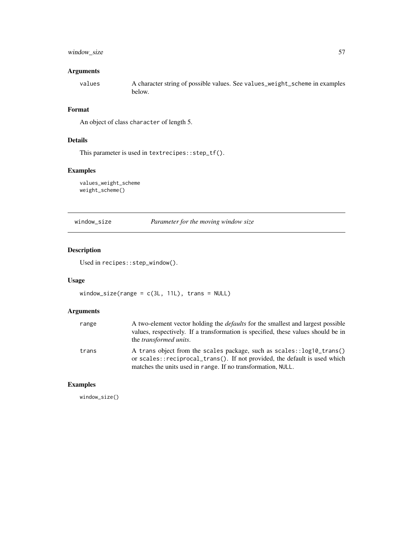#### <span id="page-56-0"></span>window\_size 57

#### Arguments

values A character string of possible values. See values\_weight\_scheme in examples below.

#### Format

An object of class character of length 5.

#### Details

This parameter is used in textrecipes::step\_tf().

#### Examples

values\_weight\_scheme weight\_scheme()

window\_size *Parameter for the moving window size*

#### Description

Used in recipes::step\_window().

#### Usage

window\_size(range = c(3L, 11L), trans = NULL)

#### Arguments

| range | A two-element vector holding the <i>defaults</i> for the smallest and largest possible<br>values, respectively. If a transformation is specified, these values should be in<br>the <i>transformed units</i> .      |
|-------|--------------------------------------------------------------------------------------------------------------------------------------------------------------------------------------------------------------------|
| trans | A trans object from the scales package, such as scales::log10_trans()<br>or scales::reciprocal_trans(). If not provided, the default is used which<br>matches the units used in range. If no transformation, NULL. |

## Examples

window\_size()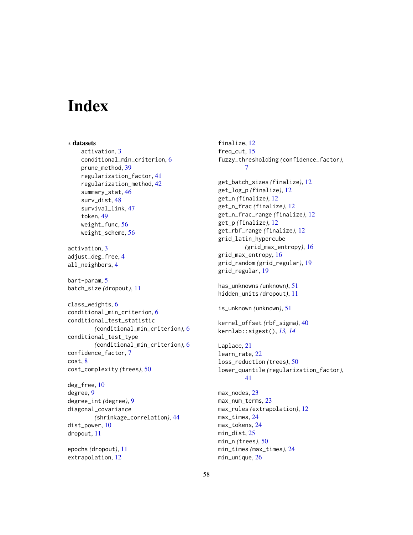# <span id="page-57-0"></span>**Index**

∗ datasets activation, [3](#page-2-0) conditional\_min\_criterion, [6](#page-5-0) prune\_method, [39](#page-38-0) regularization\_factor, [41](#page-40-0) regularization\_method, [42](#page-41-0) summary\_stat, [46](#page-45-0) surv\_dist, [48](#page-47-0) survival\_link, [47](#page-46-0) token, [49](#page-48-0) weight\_func, [56](#page-55-0) weight\_scheme, [56](#page-55-0) activation, [3](#page-2-0) adjust\_deg\_free, [4](#page-3-0) all\_neighbors, [4](#page-3-0) bart-param, [5](#page-4-0) batch\_size *(*dropout*)*, [11](#page-10-0) class\_weights, [6](#page-5-0) conditional\_min\_criterion, [6](#page-5-0) conditional\_test\_statistic *(*conditional\_min\_criterion*)*, [6](#page-5-0) conditional\_test\_type *(*conditional\_min\_criterion*)*, [6](#page-5-0) confidence\_factor, [7](#page-6-0) cost, [8](#page-7-0) cost\_complexity *(*trees*)*, [50](#page-49-0) deg\_free, [10](#page-9-0)

degree, [9](#page-8-0) degree\_int *(*degree*)*, [9](#page-8-0) diagonal\_covariance *(*shrinkage\_correlation*)*, [44](#page-43-0) dist\_power, [10](#page-9-0) dropout, [11](#page-10-0)

epochs *(*dropout*)*, [11](#page-10-0) extrapolation, [12](#page-11-0)

finalize, [12](#page-11-0) freq\_cut, [15](#page-14-0) fuzzy\_thresholding *(*confidence\_factor*)*, [7](#page-6-0) get\_batch\_sizes *(*finalize*)*, [12](#page-11-0) get\_log\_p *(*finalize*)*, [12](#page-11-0) get\_n *(*finalize*)*, [12](#page-11-0) get\_n\_frac *(*finalize*)*, [12](#page-11-0) get\_n\_frac\_range *(*finalize*)*, [12](#page-11-0) get\_p *(*finalize*)*, [12](#page-11-0) get\_rbf\_range *(*finalize*)*, [12](#page-11-0) grid\_latin\_hypercube *(*grid\_max\_entropy*)*, [16](#page-15-0) grid\_max\_entropy, [16](#page-15-0) grid\_random *(*grid\_regular*)*, [19](#page-18-0) grid\_regular, [19](#page-18-0) has\_unknowns *(*unknown*)*, [51](#page-50-0) hidden\_units *(*dropout*)*, [11](#page-10-0) is\_unknown *(*unknown*)*, [51](#page-50-0) kernel\_offset *(*rbf\_sigma*)*, [40](#page-39-0) kernlab::sigest(), *[13,](#page-12-0) [14](#page-13-0)* Laplace, [21](#page-20-0) learn\_rate, [22](#page-21-0) loss\_reduction *(*trees*)*, [50](#page-49-0) lower\_quantile *(*regularization\_factor*)*, [41](#page-40-0) max\_nodes, [23](#page-22-0) max\_num\_terms, [23](#page-22-0) max\_rules *(*extrapolation*)*, [12](#page-11-0) max\_times, [24](#page-23-0) max\_tokens, [24](#page-23-0) min\_dist, [25](#page-24-0) min\_n *(*trees*)*, [50](#page-49-0) min\_times *(*max\_times*)*, [24](#page-23-0) min\_unique, [26](#page-25-0)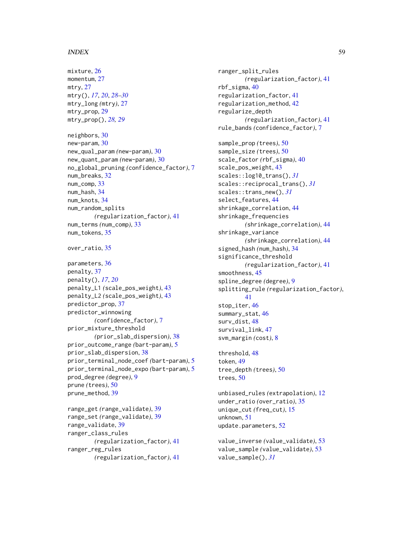#### INDEX 59

mixture, [26](#page-25-0) momentum, [27](#page-26-0) mtry, [27](#page-26-0) mtry(), *[17](#page-16-0)*, *[20](#page-19-0)*, *[28](#page-27-0)[–30](#page-29-0)* mtry\_long *(*mtry*)*, [27](#page-26-0) mtry\_prop, [29](#page-28-0) mtry\_prop(), *[28,](#page-27-0) [29](#page-28-0)* neighbors, [30](#page-29-0) new-param, [30](#page-29-0) new\_qual\_param *(*new-param*)*, [30](#page-29-0) new\_quant\_param *(*new-param*)*, [30](#page-29-0) no\_global\_pruning *(*confidence\_factor*)*, [7](#page-6-0) num\_breaks, [32](#page-31-0) num comp. [33](#page-32-0) num\_hash, [34](#page-33-0) num\_knots, [34](#page-33-0) num\_random\_splits *(*regularization\_factor*)*, [41](#page-40-0) num\_terms *(*num\_comp*)*, [33](#page-32-0) num\_tokens, [35](#page-34-0) over\_ratio, [35](#page-34-0) parameters, [36](#page-35-0) penalty, [37](#page-36-0) penalty(), *[17](#page-16-0)*, *[20](#page-19-0)* penalty\_L1 *(*scale\_pos\_weight*)*, [43](#page-42-0) penalty\_L2 *(*scale\_pos\_weight*)*, [43](#page-42-0) predictor\_prop, [37](#page-36-0) predictor\_winnowing *(*confidence\_factor*)*, [7](#page-6-0) prior\_mixture\_threshold *(*prior\_slab\_dispersion*)*, [38](#page-37-0) prior\_outcome\_range *(*bart-param*)*, [5](#page-4-0) prior\_slab\_dispersion, [38](#page-37-0) prior\_terminal\_node\_coef *(*bart-param*)*, [5](#page-4-0) prior\_terminal\_node\_expo *(*bart-param*)*, [5](#page-4-0) prod\_degree *(*degree*)*, [9](#page-8-0) prune *(*trees*)*, [50](#page-49-0) prune\_method, [39](#page-38-0) range\_get *(*range\_validate*)*, [39](#page-38-0) range\_set *(*range\_validate*)*, [39](#page-38-0) range\_validate, [39](#page-38-0)

ranger\_class\_rules *(*regularization\_factor*)*, [41](#page-40-0) ranger\_reg\_rules *(*regularization\_factor*)*, [41](#page-40-0) ranger\_split\_rules *(*regularization\_factor*)*, [41](#page-40-0) rbf\_sigma, [40](#page-39-0) regularization\_factor, [41](#page-40-0) regularization\_method, [42](#page-41-0) regularize\_depth *(*regularization\_factor*)*, [41](#page-40-0) rule\_bands *(*confidence\_factor*)*, [7](#page-6-0) sample\_prop *(*trees*)*, [50](#page-49-0) sample\_size *(*trees*)*, [50](#page-49-0) scale\_factor *(*rbf\_sigma*)*, [40](#page-39-0) scale\_pos\_weight, [43](#page-42-0) scales::log10\_trans(), *[31](#page-30-0)* scales::reciprocal\_trans(), *[31](#page-30-0)* scales::trans\_new(), *[31](#page-30-0)* select\_features, [44](#page-43-0) shrinkage\_correlation, [44](#page-43-0) shrinkage\_frequencies *(*shrinkage\_correlation*)*, [44](#page-43-0) shrinkage\_variance *(*shrinkage\_correlation*)*, [44](#page-43-0) signed\_hash *(*num\_hash*)*, [34](#page-33-0) significance\_threshold *(*regularization\_factor*)*, [41](#page-40-0) smoothness, [45](#page-44-0) spline\_degree *(*degree*)*, [9](#page-8-0) splitting\_rule *(*regularization\_factor*)*, [41](#page-40-0) stop\_iter, [46](#page-45-0) summary\_stat, [46](#page-45-0) surv\_dist, [48](#page-47-0) survival\_link, [47](#page-46-0) svm\_margin *(*cost*)*, [8](#page-7-0)

threshold, [48](#page-47-0) token, [49](#page-48-0) tree\_depth *(*trees*)*, [50](#page-49-0) trees, [50](#page-49-0)

unbiased\_rules *(*extrapolation*)*, [12](#page-11-0) under\_ratio *(*over\_ratio*)*, [35](#page-34-0) unique\_cut *(*freq\_cut*)*, [15](#page-14-0) unknown, [51](#page-50-0) update.parameters, [52](#page-51-0)

value\_inverse *(*value\_validate*)*, [53](#page-52-0) value\_sample *(*value\_validate*)*, [53](#page-52-0) value\_sample(), *[31](#page-30-0)*